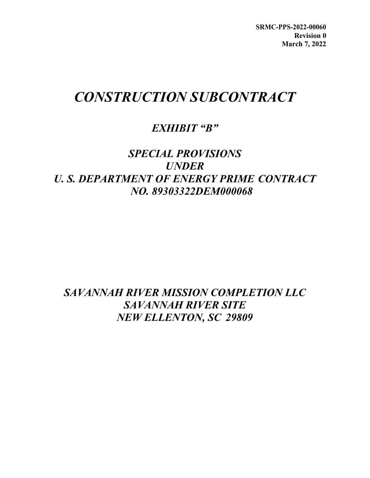**SRMC-PPS-2022-00060 Revision 0 March 7, 2022**

# *CONSTRUCTION SUBCONTRACT*

# *EXHIBIT "B"*

# *SPECIAL PROVISIONS UNDER U. S. DEPARTMENT OF ENERGY PRIME CONTRACT NO. 89303322DEM000068*

*SAVANNAH RIVER MISSION COMPLETION LLC SAVANNAH RIVER SITE NEW ELLENTON, SC 29809*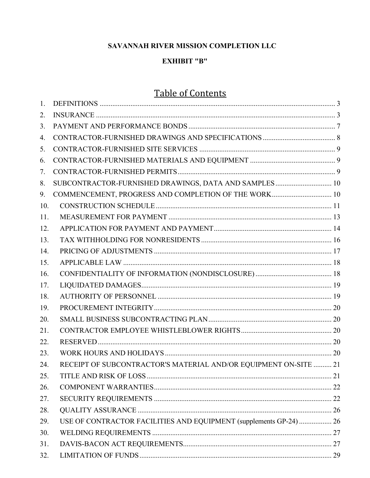# SAVANNAH RIVER MISSION COMPLETION LLC

# **EXHIBIT "B"**

# Table of Contents

| 1.  |                                                                    |  |
|-----|--------------------------------------------------------------------|--|
| 2.  |                                                                    |  |
| 3.  |                                                                    |  |
| 4.  |                                                                    |  |
| 5.  |                                                                    |  |
| 6.  |                                                                    |  |
| 7.  |                                                                    |  |
| 8.  | SUBCONTRACTOR-FURNISHED DRAWINGS, DATA AND SAMPLES  10             |  |
| 9.  |                                                                    |  |
| 10. |                                                                    |  |
| 11. |                                                                    |  |
| 12. |                                                                    |  |
| 13. |                                                                    |  |
| 14. |                                                                    |  |
| 15. |                                                                    |  |
| 16. |                                                                    |  |
| 17. |                                                                    |  |
| 18. |                                                                    |  |
| 19. |                                                                    |  |
| 20. |                                                                    |  |
| 21. |                                                                    |  |
| 22. |                                                                    |  |
| 23. |                                                                    |  |
| 24. | RECEIPT OF SUBCONTRACTOR'S MATERIAL AND/OR EQUIPMENT ON-SITE  21   |  |
| 25. |                                                                    |  |
| 26. |                                                                    |  |
| 27. |                                                                    |  |
| 28. |                                                                    |  |
| 29. | USE OF CONTRACTOR FACILITIES AND EQUIPMENT (supplements GP-24)  26 |  |
| 30. |                                                                    |  |
| 31. |                                                                    |  |
| 32. |                                                                    |  |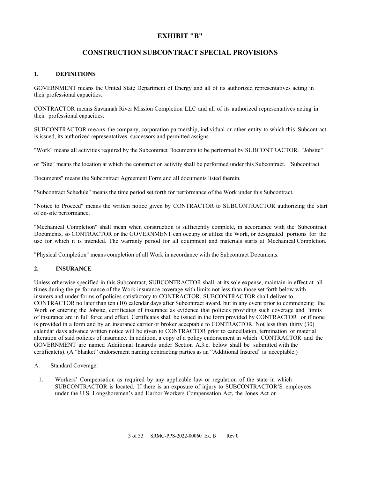# **EXHIBIT "B"**

# **CONSTRUCTION SUBCONTRACT SPECIAL PROVISIONS**

# <span id="page-3-0"></span>**1. DEFINITIONS**

GOVERNMENT means the United State Department of Energy and all of its authorized representatives acting in their professional capacities.

CONTRACTOR means Savannah River Mission Completion LLC and all of its authorized representatives acting in their professional capacities.

SUBCONTRACTOR means the company, corporation partnership, individual or other entity to which this Subcontract is issued, its authorized representatives, successors and permitted assigns.

"Work" means all activities required by the Subcontract Documents to be performed by SUBCONTRACTOR. "Jobsite"

or "Site" means the location at which the construction activity shall be performed under this Subcontract. "Subcontract

Documents" means the Subcontract Agreement Form and all documents listed therein.

"Subcontract Schedule" means the time period set forth for performance of the Work under this Subcontract.

"Notice to Proceed" means the written notice given by CONTRACTOR to SUBCONTRACTOR authorizing the start of on-site performance.

"Mechanical Completion" shall mean when construction is sufficiently complete, in accordance with the Subcontract Documents, so CONTRACTOR or the GOVERNMENT can occupy or utilize the Work, or designated portions for the use for which it is intended. The warranty period for all equipment and materials starts at Mechanical Completion.

"Physical Completion" means completion of all Work in accordance with the Subcontract Documents.

# <span id="page-3-1"></span>**2. INSURANCE**

Unless otherwise specified in this Subcontract, SUBCONTRACTOR shall, at its sole expense, maintain in effect at all times during the performance of the Work insurance coverage with limits not less than those set forth below with insurers and under forms of policies satisfactory to CONTRACTOR. SUBCONTRACTOR shall deliver to CONTRACTOR no later than ten (10) calendar days after Subcontract award, but in any event prior to commencing the Work or entering the Jobsite, certificates of insurance as evidence that policies providing such coverage and limits of insurance are in full force and effect. Certificates shall be issued in the form provided by CONTRACTOR or if none is provided in a form and by an insurance carrier or broker acceptable to CONTRACTOR. Not less than thirty (30) calendar days advance written notice will be given to CONTRACTOR prior to cancellation, termination or material alteration of said policies of insurance. In addition, a copy of a policy endorsement in which CONTRACTOR and the GOVERNMENT are named Additional Insureds under Section A.3.c. below shall be submitted with the certificate(s). (A "blanket" endorsement naming contracting parties as an "Additional Insured" is acceptable.)

#### A. Standard Coverage:

1. Workers' Compensation as required by any applicable law or regulation of the state in which SUBCONTRACTOR is located. If there is an exposure of injury to SUBCONTRACTOR'S employees under the U.S. Longshoremen's and Harbor Workers Compensation Act, the Jones Act or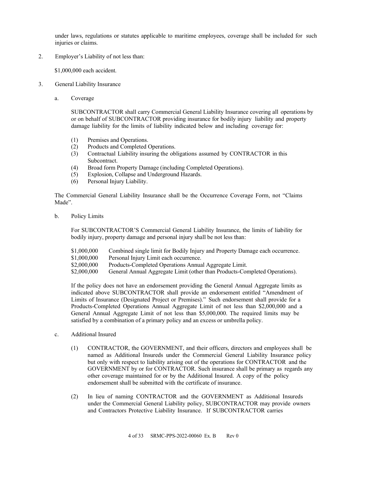under laws, regulations or statutes applicable to maritime employees, coverage shall be included for such injuries or claims.

2. Employer's Liability of not less than:

\$1,000,000 each accident.

- 3. General Liability Insurance
	- a. Coverage

SUBCONTRACTOR shall carry Commercial General Liability Insurance covering all operations by or on behalf of SUBCONTRACTOR providing insurance for bodily injury liability and property damage liability for the limits of liability indicated below and including coverage for:

- (1) Premises and Operations.
- (2) Products and Completed Operations.
- (3) Contractual Liability insuring the obligations assumed by CONTRACTOR in this Subcontract.
- (4) Broad form Property Damage (including Completed Operations).
- (5) Explosion, Collapse and Underground Hazards.
- (6) Personal Injury Liability.

The Commercial General Liability Insurance shall be the Occurrence Coverage Form, not "Claims Made".

b. Policy Limits

For SUBCONTRACTOR'S Commercial General Liability Insurance, the limits of liability for bodily injury, property damage and personal injury shall be not less than:

| \$1,000,000 | Combined single limit for Bodily Injury and Property Damage each occurrence. |
|-------------|------------------------------------------------------------------------------|
| \$1,000,000 | Personal Injury Limit each occurrence.                                       |
| \$2,000,000 | Products-Completed Operations Annual Aggregate Limit.                        |
| \$2,000,000 | General Annual Aggregate Limit (other than Products-Completed Operations).   |
|             |                                                                              |

If the policy does not have an endorsement providing the General Annual Aggregate limits as indicated above SUBCONTRACTOR shall provide an endorsement entitled "Amendment of Limits of Insurance (Designated Project or Premises)." Such endorsement shall provide for a Products-Completed Operations Annual Aggregate Limit of not less than \$2,000,000 and a General Annual Aggregate Limit of not less than \$5,000,000. The required limits may be satisfied by a combination of a primary policy and an excess or umbrella policy.

- c. Additional Insured
	- (1) CONTRACTOR, the GOVERNMENT, and their officers, directors and employees shall be named as Additional Insureds under the Commercial General Liability Insurance policy but only with respect to liability arising out of the operations for CONTRACTOR and the GOVERNMENT by or for CONTRACTOR. Such insurance shall be primary as regards any other coverage maintained for or by the Additional Insured. A copy of the policy endorsement shall be submitted with the certificate of insurance.
	- (2) In lieu of naming CONTRACTOR and the GOVERNMENT as Additional Insureds under the Commercial General Liability policy, SUBCONTRACTOR may provide owners and Contractors Protective Liability Insurance. If SUBCONTRACTOR carries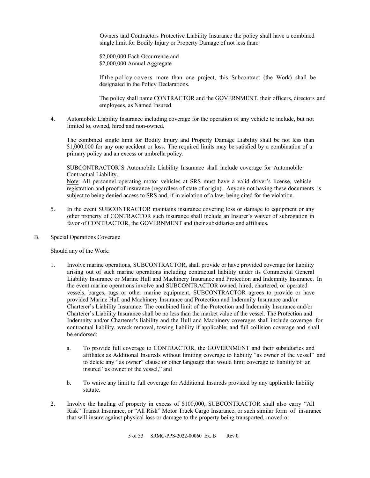Owners and Contractors Protective Liability Insurance the policy shall have a combined single limit for Bodily Injury or Property Damage of not less than:

\$2,000,000 Each Occurrence and \$2,000,000 Annual Aggregate

If the policy covers more than one project, this Subcontract (the Work) shall be designated in the Policy Declarations.

The policy shall name CONTRACTOR and the GOVERNMENT, their officers, directors and employees, as Named Insured.

4. Automobile Liability Insurance including coverage for the operation of any vehicle to include, but not limited to, owned, hired and non-owned.

The combined single limit for Bodily Injury and Property Damage Liability shall be not less than \$1,000,000 for any one accident or loss. The required limits may be satisfied by a combination of a primary policy and an excess or umbrella policy.

SUBCONTRACTOR'S Automobile Liability Insurance shall include coverage for Automobile Contractual Liability.

Note: All personnel operating motor vehicles at SRS must have a valid driver's license, vehicle registration and proof of insurance (regardless of state of origin). Anyone not having these documents is subject to being denied access to SRS and, if in violation of a law, being cited for the violation.

- 5. In the event SUBCONTRACTOR maintains insurance covering loss or damage to equipment or any other property of CONTRACTOR such insurance shall include an Insurer's waiver of subrogation in favor of CONTRACTOR, the GOVERNMENT and their subsidiaries and affiliates.
- B. Special Operations Coverage

Should any of the Work:

- 1. Involve marine operations, SUBCONTRACTOR, shall provide or have provided coverage for liability arising out of such marine operations including contractual liability under its Commercial General Liability Insurance or Marine Hull and Machinery Insurance and Protection and Indemnity Insurance. In the event marine operations involve and SUBCONTRACTOR owned, hired, chartered, or operated vessels, barges, tugs or other marine equipment, SUBCONTRACTOR agrees to provide or have provided Marine Hull and Machinery Insurance and Protection and Indemnity Insurance and/or Charterer's Liability Insurance. The combined limit of the Protection and Indemnity Insurance and/or Charterer's Liability Insurance shall be no less than the market value of the vessel. The Protection and Indemnity and/or Charterer's liability and the Hull and Machinery coverages shall include coverage for contractual liability, wreck removal, towing liability if applicable; and full collision coverage and shall be endorsed:
	- a. To provide full coverage to CONTRACTOR, the GOVERNMENT and their subsidiaries and affiliates as Additional Insureds without limiting coverage to liability "as owner of the vessel" and to delete any "as owner" clause or other language that would limit coverage to liability of an insured "as owner of the vessel," and
	- b. To waive any limit to full coverage for Additional Insureds provided by any applicable liability statute.
- 2. Involve the hauling of property in excess of \$100,000, SUBCONTRACTOR shall also carry "All Risk" Transit Insurance, or "All Risk" Motor Truck Cargo Insurance, or such similar form of insurance that will insure against physical loss or damage to the property being transported, moved or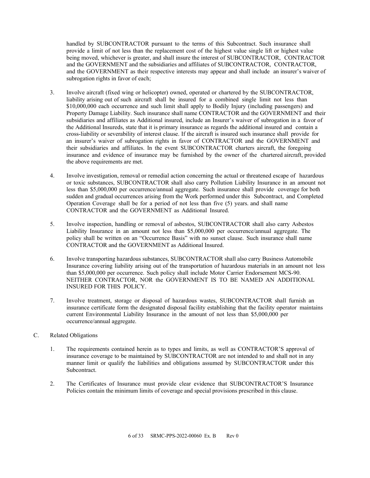handled by SUBCONTRACTOR pursuant to the terms of this Subcontract. Such insurance shall provide a limit of not less than the replacement cost of the highest value single lift or highest value being moved, whichever is greater, and shall insure the interest of SUBCONTRACTOR, CONTRACTOR and the GOVERNMENT and the subsidiaries and affiliates of SUBCONTRACTOR, CONTRACTOR, and the GOVERNMENT as their respective interests may appear and shall include an insurer's waiver of subrogation rights in favor of each;

- 3. Involve aircraft (fixed wing or helicopter) owned, operated or chartered by the SUBCONTRACTOR, liability arising out of such aircraft shall be insured for a combined single limit not less than \$10,000,000 each occurrence and such limit shall apply to Bodily Injury (including passengers) and Property Damage Liability. Such insurance shall name CONTRACTOR and the GOVERNMENT and their subsidiaries and affiliates as Additional insured, include an Insurer's waiver of subrogation in a favor of the Additional Insureds, state that it is primary insurance as regards the additional insured and contain a cross-liability or severability of interest clause. If the aircraft is insured such insurance shall provide for an insurer's waiver of subrogation rights in favor of CONTRACTOR and the GOVERNMENT and their subsidiaries and affiliates. In the event SUBCONTRACTOR charters aircraft, the foregoing insurance and evidence of insurance may be furnished by the owner of the chartered aircraft, provided the above requirements are met.
- 4. Involve investigation, removal or remedial action concerning the actual or threatened escape of hazardous or toxic substances, SUBCONTRACTOR shall also carry Pollution Liability Insurance in an amount not less than \$5,000,000 per occurrence/annual aggregate. Such insurance shall provide coverage for both sudden and gradual occurrences arising from the Work performed under this Subcontract, and Completed Operation Coverage shall be for a period of not less than five (5) years. and shall name CONTRACTOR and the GOVERNMENT as Additional Insured.
- 5. Involve inspection, handling or removal of asbestos, SUBCONTRACTOR shall also carry Asbestos Liability Insurance in an amount not less than \$5,000,000 per occurrence/annual aggregate. The policy shall be written on an "Occurrence Basis" with no sunset clause. Such insurance shall name CONTRACTOR and the GOVERNMENT as Additional Insured.
- 6. Involve transporting hazardous substances, SUBCONTRACTOR shall also carry Business Automobile Insurance covering liability arising out of the transportation of hazardous materials in an amount not less than \$5,000,000 per occurrence. Such policy shall include Motor Carrier Endorsement MCS-90. NEITHER CONTRACTOR, NOR the GOVERNMENT IS TO BE NAMED AN ADDITIONAL INSURED FOR THIS POLICY.
- 7. Involve treatment, storage or disposal of hazardous wastes, SUBCONTRACTOR shall furnish an insurance certificate form the designated disposal facility establishing that the facility operator maintains current Environmental Liability Insurance in the amount of not less than \$5,000,000 per occurrence/annual aggregate.
- C. Related Obligations
	- 1. The requirements contained herein as to types and limits, as well as CONTRACTOR'S approval of insurance coverage to be maintained by SUBCONTRACTOR are not intended to and shall not in any manner limit or qualify the liabilities and obligations assumed by SUBCONTRACTOR under this Subcontract.
	- 2. The Certificates of Insurance must provide clear evidence that SUBCONTRACTOR'S Insurance Policies contain the minimum limits of coverage and special provisions prescribed in this clause.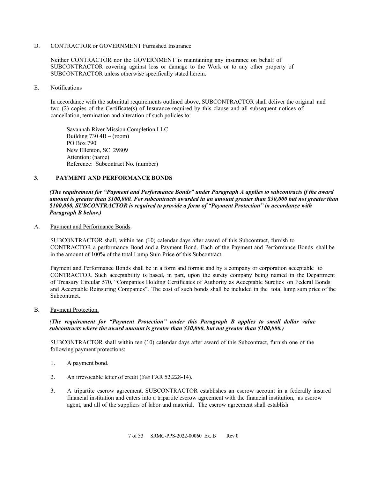#### D. CONTRACTOR or GOVERNMENT Furnished Insurance

Neither CONTRACTOR nor the GOVERNMENT is maintaining any insurance on behalf of SUBCONTRACTOR covering against loss or damage to the Work or to any other property of SUBCONTRACTOR unless otherwise specifically stated herein.

#### E. Notifications

In accordance with the submittal requirements outlined above, SUBCONTRACTOR shall deliver the original and two (2) copies of the Certificate(s) of Insurance required by this clause and all subsequent notices of cancellation, termination and alteration of such policies to:

Savannah River Mission Completion LLC Building  $730 \text{ } 4B - (room)$ PO Box 790 New Ellenton, SC 29809 Attention: (name) Reference: Subcontract No. (number)

#### <span id="page-7-0"></span>**3. PAYMENT AND PERFORMANCE BONDS**

*(The requirement for "Payment and Performance Bonds" under Paragraph A applies to subcontracts if the award amount is greater than \$100,000. For subcontracts awarded in an amount greater than \$30,000 but not greater than \$100,000, SUBCONTRACTOR is required to provide a form of "Payment Protection" in accordance with Paragraph B below.)*

#### A. Payment and Performance Bonds.

SUBCONTRACTOR shall, within ten (10) calendar days after award of this Subcontract, furnish to CONTRACTOR a performance Bond and a Payment Bond. Each of the Payment and Performance Bonds shall be in the amount of 100% of the total Lump Sum Price of this Subcontract.

Payment and Performance Bonds shall be in a form and format and by a company or corporation acceptable to CONTRACTOR. Such acceptability is based, in part, upon the surety company being named in the Department of Treasury Circular 570, "Companies Holding Certificates of Authority as Acceptable Sureties on Federal Bonds and Acceptable Reinsuring Companies". The cost of such bonds shall be included in the total lump sum price of the Subcontract.

#### B. Payment Protection.

*(The requirement for "Payment Protection" under this Paragraph B applies to small dollar value subcontracts where the award amount is greater than \$30,000, but not greater than \$100,000.)*

SUBCONTRACTOR shall within ten (10) calendar days after award of this Subcontract, furnish one of the following payment protections:

- 1. A payment bond.
- 2. An irrevocable letter of credit (*See* FAR 52.228-14).
- 3. A tripartite escrow agreement. SUBCONTRACTOR establishes an escrow account in a federally insured financial institution and enters into a tripartite escrow agreement with the financial institution, as escrow agent, and all of the suppliers of labor and material. The escrow agreement shall establish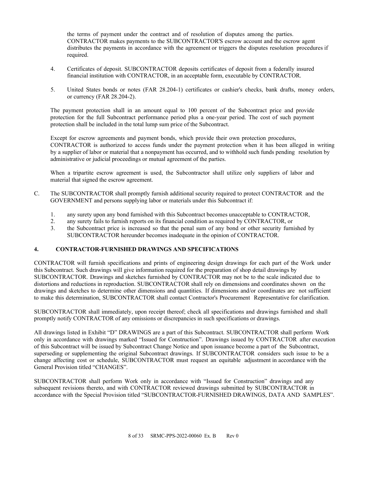the terms of payment under the contract and of resolution of disputes among the parties. CONTRACTOR makes payments to the SUBCONTRACTOR'S escrow account and the escrow agent distributes the payments in accordance with the agreement or triggers the disputes resolution procedures if required.

- 4. Certificates of deposit. SUBCONTRACTOR deposits certificates of deposit from a federally insured financial institution with CONTRACTOR, in an acceptable form, executable by CONTRACTOR.
- 5. United States bonds or notes (FAR 28.204-1) certificates or cashier's checks, bank drafts, money orders, or currency (FAR 28.204-2).

The payment protection shall in an amount equal to 100 percent of the Subcontract price and provide protection for the full Subcontract performance period plus a one-year period. The cost of such payment protection shall be included in the total lump sum price of the Subcontract.

Except for escrow agreements and payment bonds, which provide their own protection procedures, CONTRACTOR is authorized to access funds under the payment protection when it has been alleged in writing by a supplier of labor or material that a nonpayment has occurred, and to withhold such funds pending resolution by administrative or judicial proceedings or mutual agreement of the parties.

When a tripartite escrow agreement is used, the Subcontractor shall utilize only suppliers of labor and material that signed the escrow agreement.

- C. The SUBCONTRACTOR shall promptly furnish additional security required to protect CONTRACTOR and the GOVERNMENT and persons supplying labor or materials under this Subcontract if:
	- 1. any surety upon any bond furnished with this Subcontract becomes unacceptable to CONTRACTOR,
	- 2. any surety fails to furnish reports on its financial condition as required by CONTRACTOR, or
	- 3. the Subcontract price is increased so that the penal sum of any bond or other security furnished by SUBCONTRACTOR hereunder becomes inadequate in the opinion of CONTRACTOR.

# <span id="page-8-0"></span>**4. CONTRACTOR-FURNISHED DRAWINGS AND SPECIFICATIONS**

CONTRACTOR will furnish specifications and prints of engineering design drawings for each part of the Work under this Subcontract. Such drawings will give information required for the preparation of shop detail drawings by SUBCONTRACTOR. Drawings and sketches furnished by CONTRACTOR may not be to the scale indicated due to distortions and reductions in reproduction. SUBCONTRACTOR shall rely on dimensions and coordinates shown on the drawings and sketches to determine other dimensions and quantities. If dimensions and/or coordinates are not sufficient to make this determination, SUBCONTRACTOR shall contact Contractor's Procurement Representative for clarification.

SUBCONTRACTOR shall immediately, upon receipt thereof; check all specifications and drawings furnished and shall promptly notify CONTRACTOR of any omissions or discrepancies in such specifications or drawings.

All drawings listed in Exhibit "D" DRAWINGS are a part of this Subcontract. SUBCONTRACTOR shall perform Work only in accordance with drawings marked "Issued for Construction". Drawings issued by CONTRACTOR after execution of this Subcontract will be issued by Subcontract Change Notice and upon issuance become a part of the Subcontract, superseding or supplementing the original Subcontract drawings. If SUBCONTRACTOR considers such issue to be a change affecting cost or schedule, SUBCONTRACTOR must request an equitable adjustment in accordance with the General Provision titled "CHANGES".

SUBCONTRACTOR shall perform Work only in accordance with "Issued for Construction" drawings and any subsequent revisions thereto, and with CONTRACTOR reviewed drawings submitted by SUBCONTRACTOR in accordance with the Special Provision titled "SUBCONTRACTOR-FURNISHED DRAWINGS, DATA AND SAMPLES".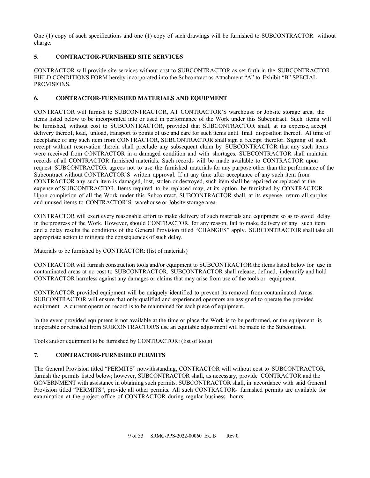One (1) copy of such specifications and one (1) copy of such drawings will be furnished to SUBCONTRACTOR without charge.

# <span id="page-9-0"></span>**5. CONTRACTOR-FURNISHED SITE SERVICES**

CONTRACTOR will provide site services without cost to SUBCONTRACTOR as set forth in the SUBCONTRACTOR FIELD CONDITIONS FORM hereby incorporated into the Subcontract as Attachment "A" to Exhibit "B" SPECIAL PROVISIONS.

# <span id="page-9-1"></span>**6. CONTRACTOR-FURNISHED MATERIALS AND EQUIPMENT**

CONTRACTOR will furnish to SUBCONTRACTOR, AT CONTRACTOR'S warehouse or Jobsite storage area, the items listed below to be incorporated into or used in performance of the Work under this Subcontract. Such items will be furnished, without cost to SUBCONTRACTOR, provided that SUBCONTRACTOR shall, at its expense, accept delivery thereof, load, unload, transport to points of use and care for such items until final disposition thereof. At time of acceptance of any such item from CONTRACTOR, SUBCONTRACTOR shall sign a receipt therefor. Signing of such receipt without reservation therein shall preclude any subsequent claim by SUBCONTRACTOR that any such items were received from CONTRACTOR in a damaged condition and with shortages. SUBCONTRACTOR shall maintain records of all CONTRACTOR furnished materials. Such records will be made available to CONTRACTOR upon request. SUBCONTRACTOR agrees not to use the furnished materials for any purpose other than the performance of the Subcontract without CONTRACTOR'S written approval. If at any time after acceptance of any such item from CONTRACTOR any such item is damaged, lost, stolen or destroyed, such item shall be repaired or replaced at the expense of SUBCONTRACTOR. Items required to be replaced may, at its option, be furnished by CONTRACTOR. Upon completion of all the Work under this Subcontract, SUBCONTRACTOR shall, at its expense, return all surplus and unused items to CONTRACTOR'S warehouse or Jobsite storage area.

CONTRACTOR will exert every reasonable effort to make delivery of such materials and equipment so as to avoid delay in the progress of the Work. However, should CONTRACTOR, for any reason, fail to make delivery of any such item and a delay results the conditions of the General Provision titled "CHANGES" apply. SUBCONTRACTOR shall take all appropriate action to mitigate the consequences of such delay.

Materials to be furnished by CONTRACTOR: (list of materials)

CONTRACTOR will furnish construction tools and/or equipment to SUBCONTRACTOR the items listed below for use in contaminated areas at no cost to SUBCONTRACTOR. SUBCONTRACTOR shall release, defined, indemnify and hold CONTRACTOR harmless against any damages or claims that may arise from use of the tools or equipment.

CONTRACTOR provided equipment will be uniquely identified to prevent its removal from contaminated Areas. SUBCONTRACTOR will ensure that only qualified and experienced operators are assigned to operate the provided equipment. A current operation record is to be maintained for each piece of equipment.

In the event provided equipment is not available at the time or place the Work is to be performed, or the equipment is inoperable or retracted from SUBCONTRACTOR'S use an equitable adjustment will be made to the Subcontract.

Tools and/or equipment to be furnished by CONTRACTOR: (list of tools)

# <span id="page-9-2"></span>**7. CONTRACTOR-FURNISHED PERMITS**

The General Provision titled "PERMITS" notwithstanding, CONTRACTOR will without cost to SUBCONTRACTOR, furnish the permits listed below; however, SUBCONTRACTOR shall, as necessary, provide CONTRACTOR and the GOVERNMENT with assistance in obtaining such permits. SUBCONTRACTOR shall, in accordance with said General Provision titled "PERMITS", provide all other permits. All such CONTRACTOR- furnished permits are available for examination at the project office of CONTRACTOR during regular business hours.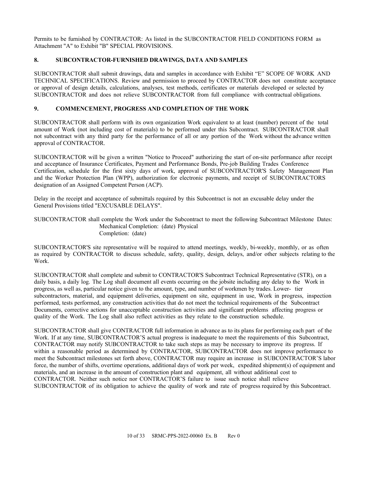Permits to be furnished by CONTRACTOR: As listed in the SUBCONTRACTOR FIELD CONDITIONS FORM as Attachment "A" to Exhibit "B" SPECIAL PROVISIONS.

# <span id="page-10-0"></span>**8. SUBCONTRACTOR-FURNISHED DRAWINGS, DATA AND SAMPLES**

SUBCONTRACTOR shall submit drawings, data and samples in accordance with Exhibit "E" SCOPE OF WORK AND TECHNICAL SPECIFICATIONS. Review and permission to proceed by CONTRACTOR does not constitute acceptance or approval of design details, calculations, analyses, test methods, certificates or materials developed or selected by SUBCONTRACTOR and does not relieve SUBCONTRACTOR from full compliance with contractual obligations.

# <span id="page-10-1"></span>**9. COMMENCEMENT, PROGRESS AND COMPLETION OF THE WORK**

SUBCONTRACTOR shall perform with its own organization Work equivalent to at least (number) percent of the total amount of Work (not including cost of materials) to be performed under this Subcontract. SUBCONTRACTOR shall not subcontract with any third party for the performance of all or any portion of the Work without the advance written approval of CONTRACTOR.

SUBCONTRACTOR will be given a written "Notice to Proceed" authorizing the start of on-site performance after receipt and acceptance of Insurance Certificates, Payment and Performance Bonds, Pre-job Building Trades Conference Certification, schedule for the first sixty days of work, approval of SUBCONTRACTOR'S Safety Management Plan and the Worker Protection Plan (WPP), authorization for electronic payments, and receipt of SUBCONTRACTORS designation of an Assigned Competent Person (ACP).

Delay in the receipt and acceptance of submittals required by this Subcontract is not an excusable delay under the General Provisions titled "EXCUSABLE DELAYS".

SUBCONTRACTOR shall complete the Work under the Subcontract to meet the following Subcontract Milestone Dates: Mechanical Completion: (date) Physical Completion: (date)

SUBCONTRACTOR'S site representative will be required to attend meetings, weekly, bi-weekly, monthly, or as often as required by CONTRACTOR to discuss schedule, safety, quality, design, delays, and/or other subjects relating to the Work.

SUBCONTRACTOR shall complete and submit to CONTRACTOR'S Subcontract Technical Representative (STR), on a daily basis, a daily log. The Log shall document all events occurring on the jobsite including any delay to the Work in progress, as well as, particular notice given to the amount, type, and number of workmen by trades. Lower- tier subcontractors, material, and equipment deliveries, equipment on site, equipment in use, Work in progress, inspection performed, tests performed, any construction activities that do not meet the technical requirements of the Subcontract Documents, corrective actions for unacceptable construction activities and significant problems affecting progress or quality of the Work. The Log shall also reflect activities as they relate to the construction schedule.

SUBCONTRACTOR shall give CONTRACTOR full information in advance as to its plans for performing each part of the Work. If at any time, SUBCONTRACTOR'S actual progress is inadequate to meet the requirements of this Subcontract, CONTRACTOR may notify SUBCONTRACTOR to take such steps as may be necessary to improve its progress. If within a reasonable period as determined by CONTRACTOR, SUBCONTRACTOR does not improve performance to meet the Subcontract milestones set forth above, CONTRACTOR may require an increase in SUBCONTRACTOR'S labor force, the number of shifts, overtime operations, additional days of work per week, expedited shipment(s) of equipment and materials, and an increase in the amount of construction plant and equipment, all without additional cost to CONTRACTOR. Neither such notice nor CONTRACTOR'S failure to issue such notice shall relieve SUBCONTRACTOR of its obligation to achieve the quality of work and rate of progress required by this Subcontract.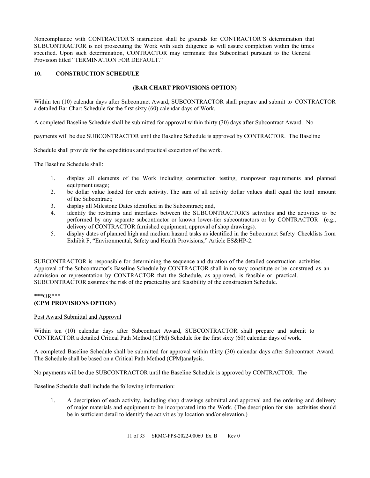Noncompliance with CONTRACTOR'S instruction shall be grounds for CONTRACTOR'S determination that SUBCONTRACTOR is not prosecuting the Work with such diligence as will assure completion within the times specified. Upon such determination, CONTRACTOR may terminate this Subcontract pursuant to the General Provision titled "TERMINATION FOR DEFAULT."

# <span id="page-11-0"></span>**10. CONSTRUCTION SCHEDULE**

# **(BAR CHART PROVISIONS OPTION)**

Within ten (10) calendar days after Subcontract Award, SUBCONTRACTOR shall prepare and submit to CONTRACTOR a detailed Bar Chart Schedule for the first sixty (60) calendar days of Work.

A completed Baseline Schedule shall be submitted for approval within thirty (30) days after Subcontract Award. No

payments will be due SUBCONTRACTOR until the Baseline Schedule is approved by CONTRACTOR. The Baseline

Schedule shall provide for the expeditious and practical execution of the work.

The Baseline Schedule shall:

- 1. display all elements of the Work including construction testing, manpower requirements and planned equipment usage;
- 2. be dollar value loaded for each activity. The sum of all activity dollar values shall equal the total amount of the Subcontract;
- 3. display all Milestone Dates identified in the Subcontract; and,
- 4. identify the restraints and interfaces between the SUBCONTRACTOR'S activities and the activities to be performed by any separate subcontractor or known lower-tier subcontractors or by CONTRACTOR (e.g., delivery of CONTRACTOR furnished equipment, approval of shop drawings).
- 5. display dates of planned high and medium hazard tasks as identified in the Subcontract Safety Checklists from Exhibit F, "Environmental, Safety and Health Provisions," Article ES&HP-2.

SUBCONTRACTOR is responsible for determining the sequence and duration of the detailed construction activities. Approval of the Subcontractor's Baseline Schedule by CONTRACTOR shall in no way constitute or be construed as an admission or representation by CONTRACTOR that the Schedule, as approved, is feasible or practical. SUBCONTRACTOR assumes the risk of the practicality and feasibility of the construction Schedule.

#### \*\*\*OR\*\*\* **(CPM PROVISIONS OPTION)**

# Post Award Submittal and Approval

Within ten (10) calendar days after Subcontract Award, SUBCONTRACTOR shall prepare and submit to CONTRACTOR a detailed Critical Path Method (CPM) Schedule for the first sixty (60) calendar days of work.

A completed Baseline Schedule shall be submitted for approval within thirty (30) calendar days after Subcontract Award. The Schedule shall be based on a Critical Path Method (CPM)analysis.

No payments will be due SUBCONTRACTOR until the Baseline Schedule is approved by CONTRACTOR. The

Baseline Schedule shall include the following information:

1. A description of each activity, including shop drawings submittal and approval and the ordering and delivery of major materials and equipment to be incorporated into the Work. (The description for site activities should be in sufficient detail to identify the activities by location and/or elevation.)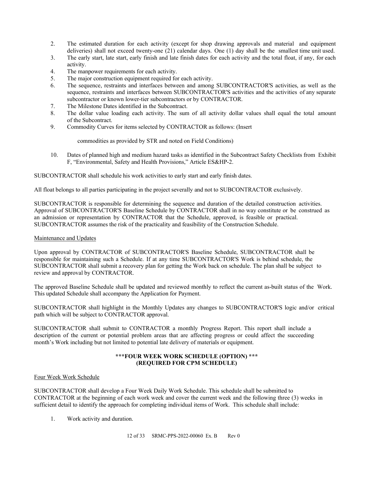- 2. The estimated duration for each activity (except for shop drawing approvals and material and equipment deliveries) shall not exceed twenty-one (21) calendar days. One (1) day shall be the smallest time unit used.
- 3. The early start, late start, early finish and late finish dates for each activity and the total float, if any, for each activity.
- 4. The manpower requirements for each activity.
- 5. The major construction equipment required for each activity.
- 6. The sequence, restraints and interfaces between and among SUBCONTRACTOR'S activities, as well as the sequence, restraints and interfaces between SUBCONTRACTOR'S activities and the activities of any separate subcontractor or known lower-tier subcontractors or by CONTRACTOR.
- 7. The Milestone Dates identified in the Subcontract.
- 8. The dollar value loading each activity. The sum of all activity dollar values shall equal the total amount of the Subcontract.
- 9. Commodity Curves for items selected by CONTRACTOR as follows: (Insert

commodities as provided by STR and noted on Field Conditions)

10. Dates of planned high and medium hazard tasks as identified in the Subcontract Safety Checklists from Exhibit F, "Environmental, Safety and Health Provisions," Article ES&HP-2.

SUBCONTRACTOR shall schedule his work activities to early start and early finish dates.

All float belongs to all parties participating in the project severally and not to SUBCONTRACTOR exclusively.

SUBCONTRACTOR is responsible for determining the sequence and duration of the detailed construction activities. Approval of SUBCONTRACTOR'S Baseline Schedule by CONTRACTOR shall in no way constitute or be construed as an admission or representation by CONTRACTOR that the Schedule, approved, is feasible or practical. SUBCONTRACTOR assumes the risk of the practicality and feasibility of the Construction Schedule.

# Maintenance and Updates

Upon approval by CONTRACTOR of SUBCONTRACTOR'S Baseline Schedule, SUBCONTRACTOR shall be responsible for maintaining such a Schedule. If at any time SUBCONTRACTOR'S Work is behind schedule, the SUBCONTRACTOR shall submit a recovery plan for getting the Work back on schedule. The plan shall be subject to review and approval by CONTRACTOR.

The approved Baseline Schedule shall be updated and reviewed monthly to reflect the current as-built status of the Work. This updated Schedule shall accompany the Application for Payment.

SUBCONTRACTOR shall highlight in the Monthly Updates any changes to SUBCONTRACTOR'S logic and/or critical path which will be subject to CONTRACTOR approval.

SUBCONTRACTOR shall submit to CONTRACTOR a monthly Progress Report. This report shall include a description of the current or potential problem areas that are affecting progress or could affect the succeeding month's Work including but not limited to potential late delivery of materials or equipment.

# **\*\*\*FOUR WEEK WORK SCHEDULE (OPTION) \*\*\* (REQUIRED FOR CPM SCHEDULE)**

# Four Week Work Schedule

SUBCONTRACTOR shall develop a Four Week Daily Work Schedule. This schedule shall be submitted to CONTRACTOR at the beginning of each work week and cover the current week and the following three (3) weeks in sufficient detail to identify the approach for completing individual items of Work. This schedule shall include:

1. Work activity and duration.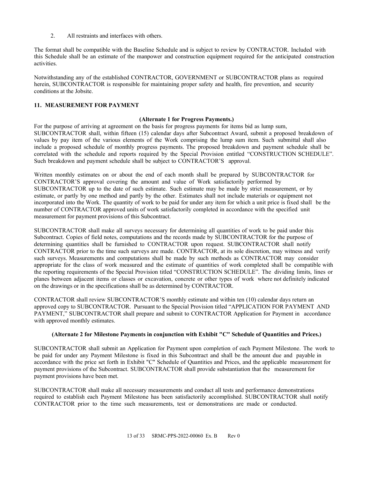2. All restraints and interfaces with others.

The format shall be compatible with the Baseline Schedule and is subject to review by CONTRACTOR. Included with this Schedule shall be an estimate of the manpower and construction equipment required for the anticipated construction activities.

Notwithstanding any of the established CONTRACTOR, GOVERNMENT or SUBCONTRACTOR plans as required herein, SUBCONTRACTOR is responsible for maintaining proper safety and health, fire prevention, and security conditions at the Jobsite.

#### <span id="page-13-0"></span>**11. MEASUREMENT FOR PAYMENT**

#### **(Alternate 1 for Progress Payments.)**

For the purpose of arriving at agreement on the basis for progress payments for items bid as lump sum, SUBCONTRACTOR shall, within fifteen (15) calendar days after Subcontract Award, submit a proposed breakdown of values by pay item of the various elements of the Work comprising the lump sum item. Such submittal shall also include a proposed schedule of monthly progress payments. The proposed breakdown and payment schedule shall be correlated with the schedule and reports required by the Special Provision entitled "CONSTRUCTION SCHEDULE". Such breakdown and payment schedule shall be subject to CONTRACTOR'S approval.

Written monthly estimates on or about the end of each month shall be prepared by SUBCONTRACTOR for CONTRACTOR'S approval covering the amount and value of Work satisfactorily performed by SUBCONTRACTOR up to the date of such estimate. Such estimate may be made by strict measurement, or by estimate, or partly by one method and partly by the other. Estimates shall not include materials or equipment not incorporated into the Work. The quantity of work to be paid for under any item for which a unit price is fixed shall be the number of CONTRACTOR approved units of work satisfactorily completed in accordance with the specified unit measurement for payment provisions of this Subcontract.

SUBCONTRACTOR shall make all surveys necessary for determining all quantities of work to be paid under this Subcontract. Copies of field notes, computations and the records made by SUBCONTRACTOR for the purpose of determining quantities shall be furnished to CONTRACTOR upon request. SUBCONTRACTOR shall notify CONTRACTOR prior to the time such surveys are made. CONTRACTOR, at its sole discretion, may witness and verify such surveys. Measurements and computations shall be made by such methods as CONTRACTOR may consider appropriate for the class of work measured and the estimate of quantities of work completed shall be compatible with the reporting requirements of the Special Provision titled "CONSTRUCTION SCHEDULE". The dividing limits, lines or planes between adjacent items or classes or excavation, concrete or other types of work where not definitely indicated on the drawings or in the specifications shall be as determined by CONTRACTOR.

CONTRACTOR shall review SUBCONTRACTOR'S monthly estimate and within ten (10) calendar days return an approved copy to SUBCONTRACTOR. Pursuant to the Special Provision titled "APPLICATION FOR PAYMENT AND PAYMENT," SUBCONTRACTOR shall prepare and submit to CONTRACTOR Application for Payment in accordance with approved monthly estimates.

#### **(Alternate 2 for Milestone Payments in conjunction with Exhibit "C" Schedule of Quantities and Prices.)**

SUBCONTRACTOR shall submit an Application for Payment upon completion of each Payment Milestone. The work to be paid for under any Payment Milestone is fixed in this Subcontract and shall be the amount due and payable in accordance with the price set forth in Exhibit "C" Schedule of Quantities and Prices, and the applicable measurement for payment provisions of the Subcontract. SUBCONTRACTOR shall provide substantiation that the measurement for payment provisions have been met.

SUBCONTRACTOR shall make all necessary measurements and conduct all tests and performance demonstrations required to establish each Payment Milestone has been satisfactorily accomplished. SUBCONTRACTOR shall notify CONTRACTOR prior to the time such measurements, test or demonstrations are made or conducted.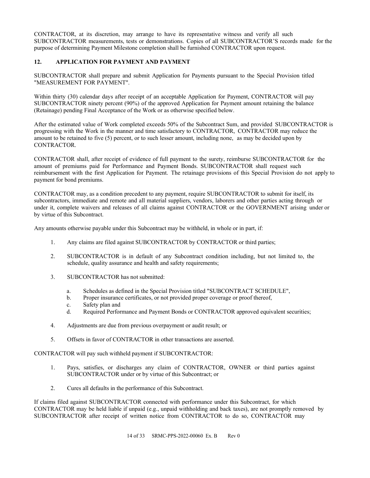CONTRACTOR, at its discretion, may arrange to have its representative witness and verify all such SUBCONTRACTOR measurements, tests or demonstrations. Copies of all SUBCONTRACTOR'S records made for the purpose of determining Payment Milestone completion shall be furnished CONTRACTOR upon request.

# <span id="page-14-0"></span>**12. APPLICATION FOR PAYMENT AND PAYMENT**

SUBCONTRACTOR shall prepare and submit Application for Payments pursuant to the Special Provision titled "MEASUREMENT FOR PAYMENT".

Within thirty (30) calendar days after receipt of an acceptable Application for Payment, CONTRACTOR will pay SUBCONTRACTOR ninety percent (90%) of the approved Application for Payment amount retaining the balance (Retainage) pending Final Acceptance of the Work or as otherwise specified below.

After the estimated value of Work completed exceeds 50% of the Subcontract Sum, and provided SUBCONTRACTOR is progressing with the Work in the manner and time satisfactory to CONTRACTOR, CONTRACTOR may reduce the amount to be retained to five (5) percent, or to such lesser amount, including none, as may be decided upon by CONTRACTOR.

CONTRACTOR shall, after receipt of evidence of full payment to the surety, reimburse SUBCONTRACTOR for the amount of premiums paid for Performance and Payment Bonds. SUBCONTRACTOR shall request such reimbursement with the first Application for Payment. The retainage provisions of this Special Provision do not apply to payment for bond premiums.

CONTRACTOR may, as a condition precedent to any payment, require SUBCONTRACTOR to submit for itself, its subcontractors, immediate and remote and all material suppliers, vendors, laborers and other parties acting through or under it, complete waivers and releases of all claims against CONTRACTOR or the GOVERNMENT arising under or by virtue of this Subcontract.

Any amounts otherwise payable under this Subcontract may be withheld, in whole or in part, if:

- 1. Any claims are filed against SUBCONTRACTOR by CONTRACTOR or third parties;
- 2. SUBCONTRACTOR is in default of any Subcontract condition including, but not limited to, the schedule, quality assurance and health and safety requirements;
- 3. SUBCONTRACTOR has not submitted:
	- a. Schedules as defined in the Special Provision titled "SUBCONTRACT SCHEDULE",
	- b. Proper insurance certificates, or not provided proper coverage or proof thereof,
	- c. Safety plan and
	- d. Required Performance and Payment Bonds or CONTRACTOR approved equivalent securities;
- 4. Adjustments are due from previous overpayment or audit result; or
- 5. Offsets in favor of CONTRACTOR in other transactions are asserted.

CONTRACTOR will pay such withheld payment if SUBCONTRACTOR:

- 1. Pays, satisfies, or discharges any claim of CONTRACTOR, OWNER or third parties against SUBCONTRACTOR under or by virtue of this Subcontract; or
- 2. Cures all defaults in the performance of this Subcontract.

If claims filed against SUBCONTRACTOR connected with performance under this Subcontract, for which CONTRACTOR may be held liable if unpaid (e.g., unpaid withholding and back taxes), are not promptly removed by SUBCONTRACTOR after receipt of written notice from CONTRACTOR to do so, CONTRACTOR may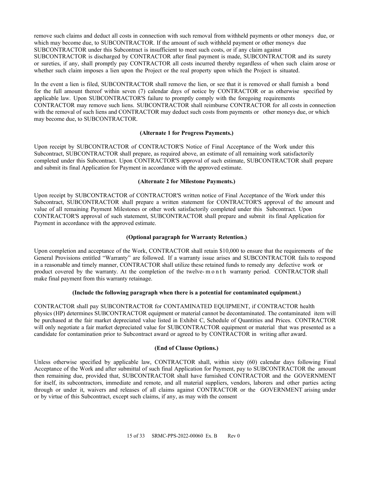remove such claims and deduct all costs in connection with such removal from withheld payments or other moneys due, or which may become due, to SUBCONTRACTOR. If the amount of such withheld payment or other moneys due SUBCONTRACTOR under this Subcontract is insufficient to meet such costs, or if any claim against SUBCONTRACTOR is discharged by CONTRACTOR after final payment is made, SUBCONTRACTOR and its surety or sureties, if any, shall promptly pay CONTRACTOR all costs incurred thereby regardless of when such claim arose or whether such claim imposes a lien upon the Project or the real property upon which the Project is situated.

In the event a lien is filed, SUBCONTRACTOR shall remove the lien, or see that it is removed or shall furnish a bond for the full amount thereof within seven (7) calendar days of notice by CONTRACTOR or as otherwise specified by applicable law. Upon SUBCONTRACTOR'S failure to promptly comply with the foregoing requirements CONTRACTOR may remove such liens. SUBCONTRACTOR shall reimburse CONTRACTOR for all costs in connection with the removal of such liens and CONTRACTOR may deduct such costs from payments or other moneys due, or which may become due, to SUBCONTRACTOR.

#### **(Alternate 1 for Progress Payments.)**

Upon receipt by SUBCONTRACTOR of CONTRACTOR'S Notice of Final Acceptance of the Work under this Subcontract, SUBCONTRACTOR shall prepare, as required above, an estimate of all remaining work satisfactorily completed under this Subcontract. Upon CONTRACTOR'S approval of such estimate, SUBCONTRACTOR shall prepare and submit its final Application for Payment in accordance with the approved estimate.

#### **(Alternate 2 for Milestone Payments.)**

Upon receipt by SUBCONTRACTOR of CONTRACTOR'S written notice of Final Acceptance of the Work under this Subcontract, SUBCONTRACTOR shall prepare a written statement for CONTRACTOR'S approval of the amount and value of all remaining Payment Milestones or other work satisfactorily completed under this Subcontract. Upon CONTRACTOR'S approval of such statement, SUBCONTRACTOR shall prepare and submit its final Application for Payment in accordance with the approved estimate.

#### **(Optional paragraph for Warranty Retention.)**

Upon completion and acceptance of the Work, CONTRACTOR shall retain \$10,000 to ensure that the requirements of the General Provisions entitled "Warranty" are followed. If a warranty issue arises and SUBCONTRACTOR fails to respond in a reasonable and timely manner, CONTRACTOR shall utilize these retained funds to remedy any defective work or product covered by the warranty. At the completion of the twelve- month warranty period. CONTRACTOR shall make final payment from this warranty retainage.

#### **(Include the following paragraph when there is a potential for contaminated equipment.)**

CONTRACTOR shall pay SUBCONTRACTOR for CONTAMINATED EQUIPMENT, if CONTRACTOR health physics (HP) determines SUBCONTRACTOR equipment or material cannot be decontaminated. The contaminated item will be purchased at the fair market depreciated value listed in Exhibit C, Schedule of Quantities and Prices. CONTRACTOR will only negotiate a fair market depreciated value for SUBCONTRACTOR equipment or material that was presented as a candidate for contamination prior to Subcontract award or agreed to by CONTRACTOR in writing after award.

#### **(End of Clause Options.)**

Unless otherwise specified by applicable law, CONTRACTOR shall, within sixty (60) calendar days following Final Acceptance of the Work and after submittal of such final Application for Payment, pay to SUBCONTRACTOR the amount then remaining due, provided that, SUBCONTRACTOR shall have furnished CONTRACTOR and the GOVERNMENT for itself, its subcontractors, immediate and remote, and all material suppliers, vendors, laborers and other parties acting through or under it, waivers and releases of all claims against CONTRACTOR or the GOVERNMENT arising under or by virtue of this Subcontract, except such claims, if any, as may with the consent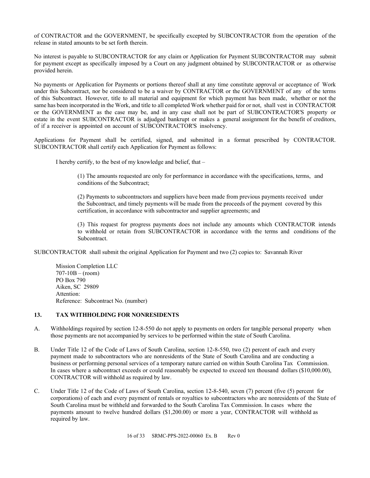of CONTRACTOR and the GOVERNMENT, be specifically excepted by SUBCONTRACTOR from the operation of the release in stated amounts to be set forth therein.

No interest is payable to SUBCONTRACTOR for any claim or Application for Payment SUBCONTRACTOR may submit for payment except as specifically imposed by a Court on any judgment obtained by SUBCONTRACTOR or as otherwise provided herein.

No payments or Application for Payments or portions thereof shall at any time constitute approval or acceptance of Work under this Subcontract, nor be considered to be a waiver by CONTRACTOR or the GOVERNMENT of any of the terms of this Subcontract. However, title to all material and equipment for which payment has been made, whether or not the same has been incorporated in the Work, and title to all completed Work whether paid for or not, shall vest in CONTRACTOR or the GOVERNMENT as the case may be, and in any case shall not be part of SUBCONTRACTOR'S property or estate in the event SUBCONTRACTOR is adjudged bankrupt or makes a general assignment for the benefit of creditors, of if a receiver is appointed on account of SUBCONTRACTOR'S insolvency.

Applications for Payment shall be certified, signed, and submitted in a format prescribed by CONTRACTOR. SUBCONTRACTOR shall certify each Application for Payment as follows:

I hereby certify, to the best of my knowledge and belief, that –

(1) The amounts requested are only for performance in accordance with the specifications, terms, and conditions of the Subcontract;

(2) Payments to subcontractors and suppliers have been made from previous payments received under the Subcontract, and timely payments will be made from the proceeds of the payment covered by this certification, in accordance with subcontractor and supplier agreements; and

(3) This request for progress payments does not include any amounts which CONTRACTOR intends to withhold or retain from SUBCONTRACTOR in accordance with the terms and conditions of the Subcontract.

SUBCONTRACTOR shall submit the original Application for Payment and two (2) copies to: Savannah River

Mission Completion LLC 707-10B – (room) PO Box 790 Aiken, SC 29809 Attention: Reference: Subcontract No. (number)

# <span id="page-16-0"></span>**13. TAX WITHHOLDING FOR NONRESIDENTS**

- A. Withholdings required by section 12-8-550 do not apply to payments on orders for tangible personal property when those payments are not accompanied by services to be performed within the state of South Carolina.
- B. Under Title 12 of the Code of Laws of South Carolina, section 12-8-550, two (2) percent of each and every payment made to subcontractors who are nonresidents of the State of South Carolina and are conducting a business or performing personal services of a temporary nature carried on within South Carolina Tax Commission. In cases where a subcontract exceeds or could reasonably be expected to exceed ten thousand dollars (\$10,000.00), CONTRACTOR will withhold as required by law.
- C. Under Title 12 of the Code of Laws of South Carolina, section 12-8-540, seven (7) percent (five (5) percent for corporations) of each and every payment of rentals or royalties to subcontractors who are nonresidents of the State of South Carolina must be withheld and forwarded to the South Carolina Tax Commission. In cases where the payments amount to twelve hundred dollars (\$1,200.00) or more a year, CONTRACTOR will withhold as required by law.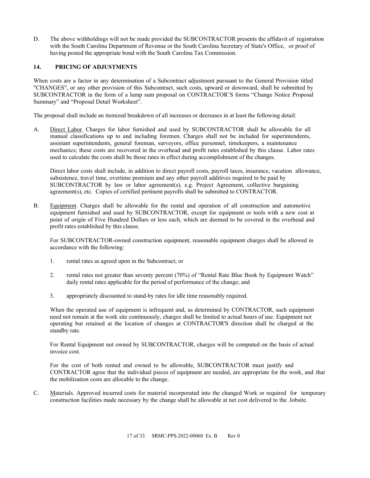D. The above withholdings will not be made provided the SUBCONTRACTOR presents the affidavit of registration with the South Carolina Department of Revenue or the South Carolina Secretary of State's Office, or proof of having posted the appropriate bond with the South Carolina Tax Commission.

# <span id="page-17-0"></span>**14. PRICING OF ADJUSTMENTS**

When costs are a factor in any determination of a Subcontract adjustment pursuant to the General Provision titled "CHANGES", or any other provision of this Subcontract, such costs, upward or downward, shall be submitted by SUBCONTRACTOR in the form of a lump sum proposal on CONTRACTOR'S forms "Change Notice Proposal Summary" and "Proposal Detail Worksheet".

The proposal shall include an itemized breakdown of all increases or decreases in at least the following detail:

A. Direct Labor. Charges for labor furnished and used by SUBCONTRACTOR shall be allowable for all manual classifications up to and including foremen. Charges shall not be included for superintendents, assistant superintendents, general foreman, surveyors, office personnel, timekeepers, a maintenance mechanics; these costs are recovered in the overhead and profit rates established by this clause. Labor rates used to calculate the costs shall be those rates in effect during accomplishment of the changes.

Direct labor costs shall include, in addition to direct payroll costs, payroll taxes, insurance, vacation allowance, subsistence, travel time, overtime premium and any other payroll additives required to be paid by SUBCONTRACTOR by law or labor agreement(s), e.g. Project Agreement, collective bargaining agreement(s), etc. Copies of certified pertinent payrolls shall be submitted to CONTRACTOR.

B. Equipment. Charges shall be allowable for the rental and operation of all construction and automotive equipment furnished and used by SUBCONTRACTOR, except for equipment or tools with a new cost at point of origin of Five Hundred Dollars or less each, which are deemed to be covered in the overhead and profit rates established by this clause.

For SUBCONTRACTOR-owned construction equipment, reasonable equipment charges shall be allowed in accordance with the following:

- 1. rental rates as agreed upon in the Subcontract; or
- 2. rental rates not greater than seventy percent (70%) of "Rental Rate Blue Book by Equipment Watch" daily rental rates applicable for the period of performance of the change; and
- 3. appropriately discounted to stand-by rates for idle time reasonably required.

When the operated use of equipment is infrequent and, as determined by CONTRACTOR, such equipment need not remain at the work site continuously, charges shall be limited to actual hours of use. Equipment not operating but retained at the location of changes at CONTRACTOR'S direction shall be charged at the standby rate.

For Rental Equipment not owned by SUBCONTRACTOR, charges will be computed on the basis of actual invoice cost.

For the cost of both rented and owned to be allowable, SUBCONTRACTOR must justify and CONTRACTOR agree that the individual pieces of equipment are needed, are appropriate for the work, and that the mobilization costs are allocable to the change.

C. Materials. Approved incurred costs for material incorporated into the changed Work or required for temporary construction facilities made necessary by the change shall be allowable at net cost delivered to the Jobsite.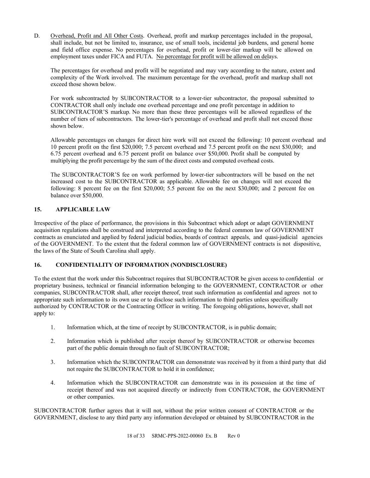D. Overhead, Profit and All Other Costs. Overhead, profit and markup percentages included in the proposal, shall include, but not be limited to, insurance, use of small tools, incidental job burdens, and general home and field office expense. No percentages for overhead, profit or lower-tier markup will be allowed on employment taxes under FICA and FUTA. No percentage for profit will be allowed on delays.

The percentages for overhead and profit will be negotiated and may vary according to the nature, extent and complexity of the Work involved. The maximum percentage for the overhead, profit and markup shall not exceed those shown below.

For work subcontracted by SUBCONTRACTOR to a lower-tier subcontractor, the proposal submitted to CONTRACTOR shall only include one overhead percentage and one profit percentage in addition to SUBCONTRACTOR'S markup. No more than these three percentages will be allowed regardless of the number of tiers of subcontractors. The lower-tier's percentage of overhead and profit shall not exceed those shown below.

Allowable percentages on changes for direct hire work will not exceed the following: 10 percent overhead and 10 percent profit on the first \$20,000; 7.5 percent overhead and 7.5 percent profit on the next \$30,000; and 6.75 percent overhead and 6.75 percent profit on balance over \$50,000. Profit shall be computed by multiplying the profit percentage by the sum of the direct costs and computed overhead costs.

The SUBCONTRACTOR'S fee on work performed by lower-tier subcontractors will be based on the net increased cost to the SUBCONTRACTOR as applicable. Allowable fee on changes will not exceed the following: 8 percent fee on the first \$20,000; 5.5 percent fee on the next \$30,000; and 2 percent fee on balance over \$50,000.

# <span id="page-18-0"></span>**15. APPLICABLE LAW**

Irrespective of the place of performance, the provisions in this Subcontract which adopt or adapt GOVERNMENT acquisition regulations shall be construed and interpreted according to the federal common law of GOVERNMENT contracts as enunciated and applied by federal judicial bodies, boards of contract appeals, and quasi-judicial agencies of the GOVERNMENT. To the extent that the federal common law of GOVERNMENT contracts is not dispositive, the laws of the State of South Carolina shall apply.

# <span id="page-18-1"></span>**16. CONFIDENTIALITY OF INFORMATION (NONDISCLOSURE)**

To the extent that the work under this Subcontract requires that SUBCONTRACTOR be given access to confidential or proprietary business, technical or financial information belonging to the GOVERNMENT, CONTRACTOR or other companies, SUBCONTRACTOR shall, after receipt thereof, treat such information as confidential and agrees not to appropriate such information to its own use or to disclose such information to third parties unless specifically authorized by CONTRACTOR or the Contracting Officer in writing. The foregoing obligations, however, shall not apply to:

- 1. Information which, at the time of receipt by SUBCONTRACTOR, is in public domain;
- 2. Information which is published after receipt thereof by SUBCONTRACTOR or otherwise becomes part of the public domain through no fault of SUBCONTRACTOR;
- 3. Information which the SUBCONTRACTOR can demonstrate was received by it from a third party that did not require the SUBCONTRACTOR to hold it in confidence;
- 4. Information which the SUBCONTRACTOR can demonstrate was in its possession at the time of receipt thereof and was not acquired directly or indirectly from CONTRACTOR, the GOVERNMENT or other companies.

SUBCONTRACTOR further agrees that it will not, without the prior written consent of CONTRACTOR or the GOVERNMENT, disclose to any third party any information developed or obtained by SUBCONTRACTOR in the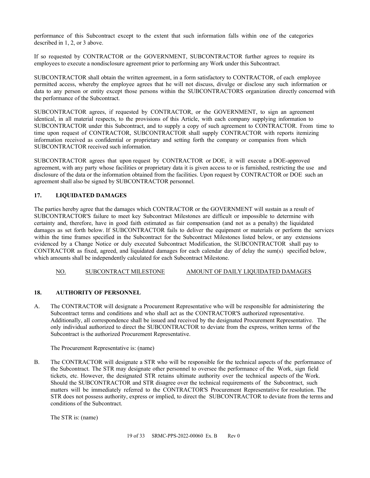performance of this Subcontract except to the extent that such information falls within one of the categories described in 1, 2, or 3 above.

If so requested by CONTRACTOR or the GOVERNMENT, SUBCONTRACTOR further agrees to require its employees to execute a nondisclosure agreement prior to performing any Work under this Subcontract.

SUBCONTRACTOR shall obtain the written agreement, in a form satisfactory to CONTRACTOR, of each employee permitted access, whereby the employee agrees that he will not discuss, divulge or disclose any such information or data to any person or entity except those persons within the SUBCONTRACTORS organization directly concerned with the performance of the Subcontract.

SUBCONTRACTOR agrees, if requested by CONTRACTOR, or the GOVERNMENT, to sign an agreement identical, in all material respects, to the provisions of this Article, with each company supplying information to SUBCONTRACTOR under this Subcontract, and to supply a copy of such agreement to CONTRACTOR. From time to time upon request of CONTRACTOR, SUBCONTRACTOR shall supply CONTRACTOR with reports itemizing information received as confidential or proprietary and setting forth the company or companies from which SUBCONTRACTOR received such information.

SUBCONTRACTOR agrees that upon request by CONTRACTOR or DOE, it will execute a DOE-approved agreement, with any party whose facilities or proprietary data it is given access to or is furnished, restricting the use and disclosure of the data or the information obtained from the facilities. Upon request by CONTRACTOR or DOE such an agreement shall also be signed by SUBCONTRACTOR personnel.

# <span id="page-19-0"></span>**17. LIQUIDATED DAMAGES**

The parties hereby agree that the damages which CONTRACTOR or the GOVERNMENT will sustain as a result of SUBCONTRACTOR'S failure to meet key Subcontract Milestones are difficult or impossible to determine with certainty and, therefore, have in good faith estimated as fair compensation (and not as a penalty) the liquidated damages as set forth below. If SUBCONTRACTOR fails to deliver the equipment or materials or perform the services within the time frames specified in the Subcontract for the Subcontract Milestones listed below, or any extensions evidenced by a Change Notice or duly executed Subcontract Modification, the SUBCONTRACTOR shall pay to CONTRACTOR as fixed, agreed, and liquidated damages for each calendar day of delay the sum(s) specified below, which amounts shall be independently calculated for each Subcontract Milestone.

NO. SUBCONTRACT MILESTONE AMOUNT OF DAILY LIQUIDATED DAMAGES

# <span id="page-19-1"></span>**18. AUTHORITY OF PERSONNEL**

A. The CONTRACTOR will designate a Procurement Representative who will be responsible for administering the Subcontract terms and conditions and who shall act as the CONTRACTOR'S authorized representative. Additionally, all correspondence shall be issued and received by the designated Procurement Representative. The only individual authorized to direct the SUBCONTRACTOR to deviate from the express, written terms of the Subcontract is the authorized Procurement Representative.

The Procurement Representative is: (name)

B. The CONTRACTOR will designate a STR who will be responsible for the technical aspects of the performance of the Subcontract. The STR may designate other personnel to oversee the performance of the Work, sign field tickets, etc. However, the designated STR retains ultimate authority over the technical aspects of the Work. Should the SUBCONTRACTOR and STR disagree over the technical requirements of the Subcontract, such matters will be immediately referred to the CONTRACTOR'S Procurement Representative for resolution. The STR does not possess authority, express or implied, to direct the SUBCONTRACTOR to deviate from the terms and conditions of the Subcontract.

The STR is: (name)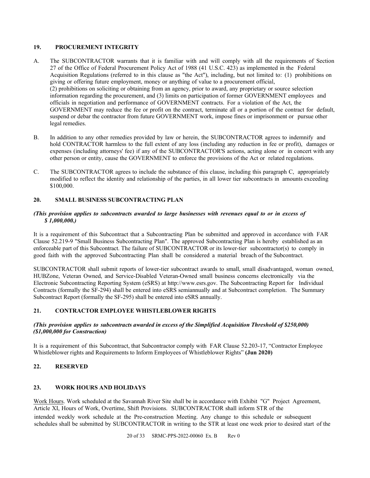# <span id="page-20-0"></span>**19. PROCUREMENT INTEGRITY**

- A. The SUBCONTRACTOR warrants that it is familiar with and will comply with all the requirements of Section 27 of the Office of Federal Procurement Policy Act of 1988 (41 U.S.C. 423) as implemented in the Federal Acquisition Regulations (referred to in this clause as "the Act"), including, but not limited to: (1) prohibitions on giving or offering future employment, money or anything of value to a procurement official, (2) prohibitions on soliciting or obtaining from an agency, prior to award, any proprietary or source selection information regarding the procurement, and (3) limits on participation of former GOVERNMENT employees and officials in negotiation and performance of GOVERNMENT contracts. For a violation of the Act, the GOVERNMENT may reduce the fee or profit on the contract, terminate all or a portion of the contract for default, suspend or debar the contractor from future GOVERNMENT work, impose fines or imprisonment or pursue other legal remedies.
- B. In addition to any other remedies provided by law or herein, the SUBCONTRACTOR agrees to indemnify and hold CONTRACTOR harmless to the full extent of any loss (including any reduction in fee or profit), damages or expenses (including attorneys' fee) if any of the SUBCONTRACTOR'S actions, acting alone or in concert with any other person or entity, cause the GOVERNMENT to enforce the provisions of the Act or related regulations.
- C. The SUBCONTRACTOR agrees to include the substance of this clause, including this paragraph C, appropriately modified to reflect the identity and relationship of the parties, in all lower tier subcontracts in amounts exceeding \$100,000.

# <span id="page-20-1"></span>**20. SMALL BUSINESS SUBCONTRACTING PLAN**

#### (This provision applies to subcontracts awarded to large businesses with revenues equal to or in excess of *\$ 1,000,000.)*

It is a requirement of this Subcontract that a Subcontracting Plan be submitted and approved in accordance with FAR Clause 52.219-9 "Small Business Subcontracting Plan". The approved Subcontracting Plan is hereby established as an enforceable part of this Subcontract. The failure of SUBCONTRACTOR or its lower-tier subcontractor(s) to comply in good faith with the approved Subcontracting Plan shall be considered a material breach of the Subcontract.

SUBCONTRACTOR shall submit reports of lower-tier subcontract awards to small, small disadvantaged, woman owned, HUBZone, Veteran Owned, and Service-Disabled Veteran-Owned small business concerns electronically via the Electronic Subcontracting Reporting System (eSRS) at [http://www.esrs.gov.](http://www.esrs.gov/) The Subcontracting Report for Individual Contracts (formally the SF-294) shall be entered into eSRS semiannually and at Subcontract completion. The Summary Subcontract Report (formally the SF-295) shall be entered into eSRS annually.

# <span id="page-20-2"></span>**21. CONTRACTOR EMPLOYEE WHISTLEBLOWER RIGHTS**

# *(This provision applies to subcontracts awarded in excess of the Simplified Acquisition Threshold of \$250,000) (\$1,000,000 for Construction)*

It is a requirement of this Subcontract, that Subcontractor comply with FAR Clause 52.203-17, "Contractor Employee Whistleblower rights and Requirements to Inform Employees of Whistleblower Rights" **(Jun 2020)**

# <span id="page-20-3"></span>**22. RESERVED**

# <span id="page-20-4"></span>**23. WORK HOURS AND HOLIDAYS**

Work Hours. Work scheduled at the Savannah River Site shall be in accordance with Exhibit "G" Project Agreement, Article XI, Hours of Work, Overtime, Shift Provisions. SUBCONTRACTOR shall inform STR of the intended weekly work schedule at the Pre-construction Meeting. Any change to this schedule or subsequent schedules shall be submitted by SUBCONTRACTOR in writing to the STR at least one week prior to desired start of the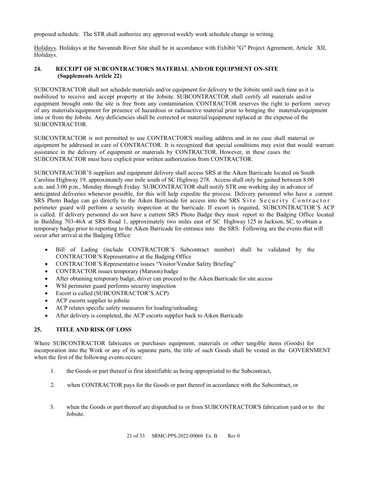proposed schedule. The STR shall authorize any approved weekly work schedule change in writing.

Holidays. Holidays at the Savannah River Site shall be in accordance with Exhibit "G" Project Agreement, Article XII, Holidays.

# <span id="page-21-0"></span>**24. RECEIPT OF SUBCONTRACTOR'S MATERIAL AND/OR EQUIPMENT ON-SITE (Supplements Article 22)**

SUBCONTRACTOR shall not schedule materials and/or equipment for delivery to the Jobsite until such time as it is mobilized to receive and accept property at the Jobsite. SUBCONTRACTOR shall certify all materials and/or equipment brought onto the site is free from any contamination. CONTRACTOR reserves the right to perform survey of any materials/equipment for presence of hazardous or radioactive material prior to bringing the materials/equipment into or from the Jobsite. Any deficiencies shall be corrected or material/equipment replaced at the expense of the SUBCONTRACTOR.

SUBCONTRACTOR is not permitted to use CONTRACTOR'S mailing address and in no case shall material or equipment be addressed in care of CONTRACTOR. It is recognized that special conditions may exist that would warrant assistance in the delivery of equipment or materials by CONTRACTOR. However, in these cases the SUBCONTRACTOR must have explicit prior written authorization from CONTRACTOR.

SUBCONTRACTOR'S suppliers and equipment delivery shall access SRS at the Aiken Barricade located on South Carolina Highway 19, approximately one mile south of SC Highway 278. Access shall only be gained between 8:00 a.m. and 3:00 p.m., Monday through Friday. SUBCONTRACTOR shall notify STR one working day in advance of anticipated deliveries whenever possible, for this will help expedite the process. Delivery personnel who have a current SRS Photo Badge can go directly to the Aiken Barricade for access into the SRS Site Security Contractor perimeter guard will perform a security inspection at the barricade. If escort is required, SUBCONTRACTOR'S ACP is called. If delivery personnel do not have a current SRS Photo Badge they must report to the Badging Office located in Building 703-46A at SRS Road 1, approximately two miles east of SC Highway 125 in Jackson, SC, to obtain a temporary badge prior to reporting to the Aiken Barricade for entrance into the SRS. Following are the events that will occur after arrival at the Badging Office:

- Bill of Lading (include CONTRACTOR'S Subcontract number) shall be validated by the CONTRACTOR'S Representative at the Badging Office
- CONTRACTOR'S Representative issues "Visitor/Vendor Safety Briefing"
- CONTRACTOR issues temporary (Maroon) badge
- After obtaining temporary badge, driver can proceed to the Aiken Barricade for site access
- WSI perimeter guard performs security inspection
- Escort is called (SUBCONTRACTOR'S ACP)
- ACP escorts supplier to jobsite
- ACP relates specific safety measures for loading/unloading
- After delivery is completed, the ACP escorts supplier back to Aiken Barricade

# <span id="page-21-1"></span>**25. TITLE AND RISK OF LOSS**

Where SUBCONTRACTOR fabricates or purchases equipment, materials or other tangible items (Goods) for incorporation into the Work or any of its separate parts, the title of such Goods shall be vested in the GOVERNMENT when the first of the following events occurs:

- 1. the Goods or part thereof is first identifiable as being appropriated to the Subcontract,
- 2. when CONTRACTOR pays for the Goods or part thereof in accordance with the Subcontract, or
- 3. when the Goods or part thereof are dispatched to or from SUBCONTRACTOR'S fabrication yard or to the Jobsite.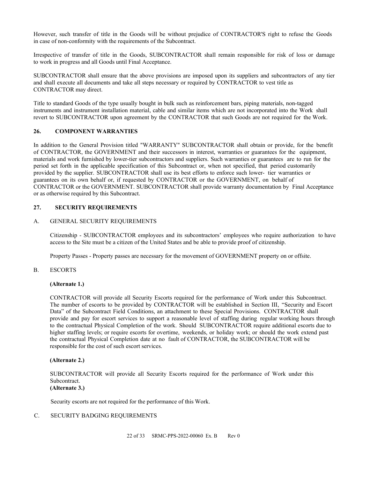However, such transfer of title in the Goods will be without prejudice of CONTRACTOR'S right to refuse the Goods in case of non-conformity with the requirements of the Subcontract.

Irrespective of transfer of title in the Goods, SUBCONTRACTOR shall remain responsible for risk of loss or damage to work in progress and all Goods until Final Acceptance.

SUBCONTRACTOR shall ensure that the above provisions are imposed upon its suppliers and subcontractors of any tier and shall execute all documents and take all steps necessary or required by CONTRACTOR to vest title as CONTRACTOR may direct.

Title to standard Goods of the type usually bought in bulk such as reinforcement bars, piping materials, non-tagged instruments and instrument installation material, cable and similar items which are not incorporated into the Work shall revert to SUBCONTRACTOR upon agreement by the CONTRACTOR that such Goods are not required for the Work.

#### <span id="page-22-0"></span>**26. COMPONENT WARRANTIES**

In addition to the General Provision titled "WARRANTY" SUBCONTRACTOR shall obtain or provide, for the benefit of CONTRACTOR, the GOVERNMENT and their successors in interest, warranties or guarantees for the equipment, materials and work furnished by lower-tier subcontractors and suppliers. Such warranties or guarantees are to run for the period set forth in the applicable specification of this Subcontract or, when not specified, that period customarily provided by the supplier. SUBCONTRACTOR shall use its best efforts to enforce such lower- tier warranties or guarantees on its own behalf or, if requested by CONTRACTOR or the GOVERNMENT, on behalf of CONTRACTOR or the GOVERNMENT. SUBCONTRACTOR shall provide warranty documentation by Final Acceptance or as otherwise required by this Subcontract.

#### <span id="page-22-1"></span>**27. SECURITY REQUIREMENTS**

#### A. GENERAL SECURITY REQUIREMENTS

Citizenship - SUBCONTRACTOR employees and its subcontractors' employees who require authorization to have access to the Site must be a citizen of the United States and be able to provide proof of citizenship.

Property Passes - Property passes are necessary for the movement of GOVERNMENT property on or offsite.

#### B. ESCORTS

# **(Alternate 1.)**

CONTRACTOR will provide all Security Escorts required for the performance of Work under this Subcontract. The number of escorts to be provided by CONTRACTOR will be established in Section III, "Security and Escort Data" of the Subcontract Field Conditions, an attachment to these Special Provisions. CONTRACTOR shall provide and pay for escort services to support a reasonable level of staffing during regular working hours through to the contractual Physical Completion of the work. Should SUBCONTRACTOR require additional escorts due to higher staffing levels; or require escorts for overtime, weekends, or holiday work; or should the work extend past the contractual Physical Completion date at no fault of CONTRACTOR, the SUBCONTRACTOR will be responsible for the cost of such escort services.

#### **(Alternate 2.)**

SUBCONTRACTOR will provide all Security Escorts required for the performance of Work under this Subcontract.

# **(Alternate 3.)**

Security escorts are not required for the performance of this Work.

#### C. SECURITY BADGING REQUIREMENTS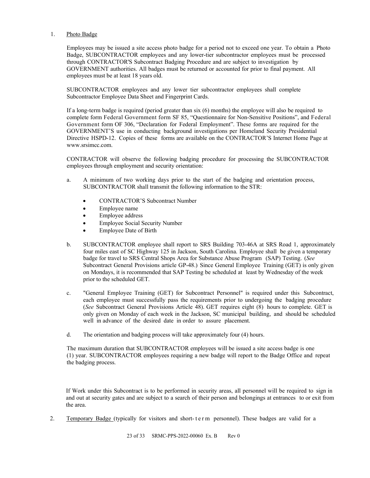#### 1. Photo Badge

Employees may be issued a site access photo badge for a period not to exceed one year. To obtain a Photo Badge, SUBCONTRACTOR employees and any lower-tier subcontractor employees must be processed through CONTRACTOR'S Subcontract Badging Procedure and are subject to investigation by GOVERNMENT authorities. All badges must be returned or accounted for prior to final payment. All employees must be at least 18 years old.

SUBCONTRACTOR employees and any lower tier subcontractor employees shall complete Subcontractor Employee Data Sheet and Fingerprint Cards.

If a long-term badge is required (period greater than six (6) months) the employee will also be required to complete form Federal Government form SF 85, "Questionnaire for Non-Sensitive Positions", and Federal Government form OF 306, "Declaration for Federal Employment". These forms are required for the GOVERNMENT'S use in conducting background investigations per Homeland Security Presidential Directive HSPD-12. Copies of these forms are available on the CONTRACTOR'S Internet Home Page at www.srsimcc.com.

CONTRACTOR will observe the following badging procedure for processing the SUBCONTRACTOR employees through employment and security orientation:

- a. A minimum of two working days prior to the start of the badging and orientation process, SUBCONTRACTOR shall transmit the following information to the STR:
	- CONTRACTOR'S Subcontract Number
	- Employee name
	- Employee address
	- Employee Social Security Number
	- Employee Date of Birth
- b. SUBCONTRACTOR employee shall report to SRS Building 703-46A at SRS Road 1, approximately four miles east of SC Highway 125 in Jackson, South Carolina. Employee shall be given a temporary badge for travel to SRS Central Shops Area for Substance Abuse Program (SAP) Testing. (*See* Subcontract General Provisions article GP-48.) Since General Employee Training (GET) is only given on Mondays, it is recommended that SAP Testing be scheduled at least by Wednesday of the week prior to the scheduled GET.
- c. "General Employee Training (GET) for Subcontract Personnel" is required under this Subcontract, each employee must successfully pass the requirements prior to undergoing the badging procedure (*See* Subcontract General Provisions Article 48). GET requires eight (8) hours to complete. GET is only given on Monday of each week in the Jackson, SC municipal building, and should be scheduled well in advance of the desired date in order to assure placement.
- d. The orientation and badging process will take approximately four (4) hours.

The maximum duration that SUBCONTRACTOR employees will be issued a site access badge is one (1) year. SUBCONTRACTOR employees requiring a new badge will report to the Badge Office and repeat the badging process.

If Work under this Subcontract is to be performed in security areas, all personnel will be required to sign in and out at security gates and are subject to a search of their person and belongings at entrances to or exit from the area.

2. Temporary Badge (typically for visitors and short- term personnel). These badges are valid for a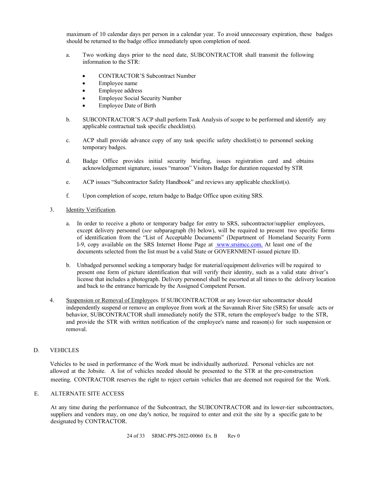maximum of 10 calendar days per person in a calendar year. To avoid unnecessary expiration, these badges should be returned to the badge office immediately upon completion of need.

- a. Two working days prior to the need date, SUBCONTRACTOR shall transmit the following information to the STR:
	- CONTRACTOR'S Subcontract Number
	- Employee name
	- Employee address
	- Employee Social Security Number
	- Employee Date of Birth
- b. SUBCONTRACTOR'S ACP shall perform Task Analysis of scope to be performed and identify any applicable contractual task specific checklist(s).
- c. ACP shall provide advance copy of any task specific safety checklist(s) to personnel seeking temporary badges.
- d. Badge Office provides initial security briefing, issues registration card and obtains acknowledgement signature, issues "maroon" Visitors Badge for duration requested by STR
- e. ACP issues "Subcontractor Safety Handbook" and reviews any applicable checklist(s).
- f. Upon completion of scope, return badge to Badge Office upon exiting SRS.
- 3. Identity Verification.
	- a. In order to receive a photo or temporary badge for entry to SRS, subcontractor/supplier employees, except delivery personnel (*see* subparagraph (b) below), will be required to present two specific forms of identification from the "List of Acceptable Documents" (Department of Homeland Security Form I-9, copy available on the SRS Internet Home Page at www.srsimcc.com. At least one of the documents selected from the list must be a valid State or GOVERNMENT-issued picture ID.
	- b. Unbadged personnel seeking a temporary badge for material/equipment deliveries will be required to present one form of picture identification that will verify their identity, such as a valid state driver's license that includes a photograph. Delivery personnel shall be escorted at all times to the delivery location and back to the entrance barricade by the Assigned Competent Person.
- 4. Suspension or Removal of Employees. If SUBCONTRACTOR or any lower-tier subcontractor should independently suspend or remove an employee from work at the Savannah River Site (SRS) for unsafe acts or behavior, SUBCONTRACTOR shall immediately notify the STR, return the employee's badge to the STR, and provide the STR with written notification of the employee's name and reason(s) for such suspension or removal.

#### D. VEHICLES

Vehicles to be used in performance of the Work must be individually authorized. Personal vehicles are not allowed at the Jobsite. A list of vehicles needed should be presented to the STR at the pre-construction meeting. CONTRACTOR reserves the right to reject certain vehicles that are deemed not required for the Work.

#### E. ALTERNATE SITE ACCESS

At any time during the performance of the Subcontract, the SUBCONTRACTOR and its lower-tier subcontractors, suppliers and vendors may, on one day's notice, be required to enter and exit the site by a specific gate to be designated by CONTRACTOR.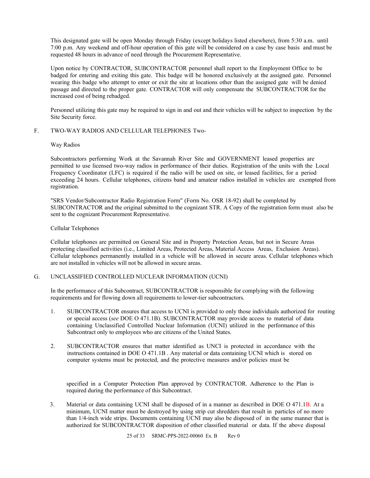This designated gate will be open Monday through Friday (except holidays listed elsewhere), from 5:30 a.m. until 7:00 p.m. Any weekend and off-hour operation of this gate will be considered on a case by case basis and must be requested 48 hours in advance of need through the Procurement Representative.

Upon notice by CONTRACTOR, SUBCONTRACTOR personnel shall report to the Employment Office to be badged for entering and exiting this gate. This badge will be honored exclusively at the assigned gate. Personnel wearing this badge who attempt to enter or exit the site at locations other than the assigned gate will be denied passage and directed to the proper gate. CONTRACTOR will only compensate the SUBCONTRACTOR for the increased cost of being rebadged.

Personnel utilizing this gate may be required to sign in and out and their vehicles will be subject to inspection by the Site Security force.

#### F. TWO-WAY RADIOS AND CELLULAR TELEPHONES Two-

#### Way Radios

Subcontractors performing Work at the Savannah River Site and GOVERNMENT leased properties are permitted to use licensed two-way radios in performance of their duties. Registration of the units with the Local Frequency Coordinator (LFC) is required if the radio will be used on site, or leased facilities, for a period exceeding 24 hours. Cellular telephones, citizens band and amateur radios installed in vehicles are exempted from registration.

"SRS Vendor/Subcontractor Radio Registration Form" (Form No. OSR 18-92) shall be completed by SUBCONTRACTOR and the original submitted to the cognizant STR. A Copy of the registration form must also be sent to the cognizant Procurement Representative.

#### Cellular Telephones

Cellular telephones are permitted on General Site and in Property Protection Areas, but not in Secure Areas protecting classified activities (i.e., Limited Areas, Protected Areas, Material Access Areas, Exclusion Areas). Cellular telephones permanently installed in a vehicle will be allowed in secure areas. Cellular telephones which are not installed in vehicles will not be allowed in secure areas.

# G. UNCLASSIFIED CONTROLLED NUCLEAR INFORMATION (UCNI)

In the performance of this Subcontract, SUBCONTRACTOR is responsible for complying with the following requirements and for flowing down all requirements to lower-tier subcontractors.

- 1. SUBCONTRACTOR ensures that access to UCNI is provided to only those individuals authorized for routing or special access (*see* DOE O 471.1B). SUBCONTRACTOR may provide access to material of data containing Unclassified Controlled Nuclear Information (UCNI) utilized in the performance of this Subcontract only to employees who are citizens of the United States.
- 2. SUBCONTRACTOR ensures that matter identified as UNCI is protected in accordance with the instructions contained in DOE O 471.1B . Any material or data containing UCNI which is stored on computer systems must be protected, and the protective measures and/or policies must be

specified in a Computer Protection Plan approved by CONTRACTOR. Adherence to the Plan is required during the performance of this Subcontract.

3. Material or data containing UCNI shall be disposed of in a manner as described in DOE O 471.1B. At a minimum, UCNI matter must be destroyed by using strip cut shredders that result in particles of no more than 1/4-inch wide strips. Documents containing UCNI may also be disposed of in the same manner that is authorized for SUBCONTRACTOR disposition of other classified material or data. If the above disposal

25 of 33 SRMC-PPS-2022-00060 Ex. B Rev 0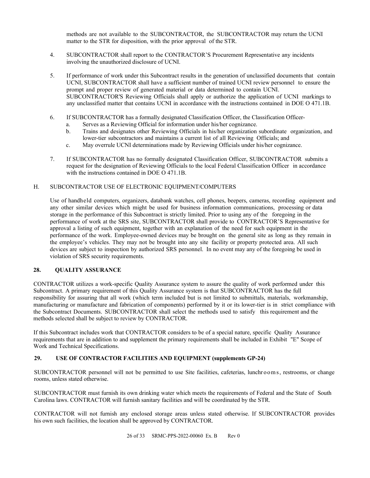methods are not available to the SUBCONTRACTOR, the SUBCONTRACTOR may return the UCNI matter to the STR for disposition, with the prior approval of the STR.

- 4. SUBCONTRACTOR shall report to the CONTRACTOR'S Procurement Representative any incidents involving the unauthorized disclosure of UCNI.
- 5. If performance of work under this Subcontract results in the generation of unclassified documents that contain UCNI, SUBCONTRACTOR shall have a sufficient number of trained UCNI review personnel to ensure the prompt and proper review of generated material or data determined to contain UCNI. SUBCONTRACTOR'S Reviewing Officials shall apply or authorize the application of UCNI markings to any unclassified matter that contains UCNI in accordance with the instructions contained in DOE O 471.1B.
- 6. If SUBCONTRACTOR has a formally designated Classification Officer, the Classification Officer
	- a. Serves as a Reviewing Official for information under his/her cognizance.
	- b. Trains and designates other Reviewing Officials in his/her organization subordinate organization, and lower-tier subcontractors and maintains a current list of all Reviewing Officials; and
	- c. May overrule UCNI determinations made by Reviewing Officials under his/her cognizance.
- 7. If SUBCONTRACTOR has no formally designated Classification Officer, SUBCONTRACTOR submits a request for the designation of Reviewing Officials to the local Federal Classification Officer in accordance with the instructions contained in DOE O 471.1B.

#### H. SUBCONTRACTOR USE OF ELECTRONIC EQUIPMENT/COMPUTERS

Use of handheld computers, organizers, databank watches, cell phones, beepers, cameras, recording equipment and any other similar devices which might be used for business information communications, processing or data storage in the performance of this Subcontract is strictly limited. Prior to using any of the foregoing in the performance of work at the SRS site, SUBCONTRACTOR shall provide to CONTRACTOR'S Representative for approval a listing of such equipment, together with an explanation of the need for such equipment in the performance of the work. Employee-owned devices may be brought on the general site as long as they remain in the employee's vehicles. They may not be brought into any site facility or property protected area. All such devices are subject to inspection by authorized SRS personnel. In no event may any of the foregoing be used in violation of SRS security requirements.

#### <span id="page-26-0"></span>**28. QUALITY ASSURANCE**

CONTRACTOR utilizes a work-specific Quality Assurance system to assure the quality of work performed under this Subcontract. A primary requirement of this Quality Assurance system is that SUBCONTRACTOR has the full responsibility for assuring that all work (which term included but is not limited to submittals, materials, workmanship, manufacturing or manufacture and fabrication of components) performed by it or its lower-tier is in strict compliance with the Subcontract Documents. SUBCONTRACTOR shall select the methods used to satisfy this requirement and the methods selected shall be subject to review by CONTRACTOR.

If this Subcontract includes work that CONTRACTOR considers to be of a special nature, specific Quality Assurance requirements that are in addition to and supplement the primary requirements shall be included in Exhibit "E" Scope of Work and Technical Specifications.

# <span id="page-26-1"></span>**29. USE OF CONTRACTOR FACILITIES AND EQUIPMENT (supplements GP-24)**

SUBCONTRACTOR personnel will not be permitted to use Site facilities, cafeterias, lunchrooms, restrooms, or change rooms, unless stated otherwise.

SUBCONTRACTOR must furnish its own drinking water which meets the requirements of Federal and the State of South Carolina laws. CONTRACTOR will furnish sanitary facilities and will be coordinated by the STR.

CONTRACTOR will not furnish any enclosed storage areas unless stated otherwise. If SUBCONTRACTOR provides his own such facilities, the location shall be approved by CONTRACTOR.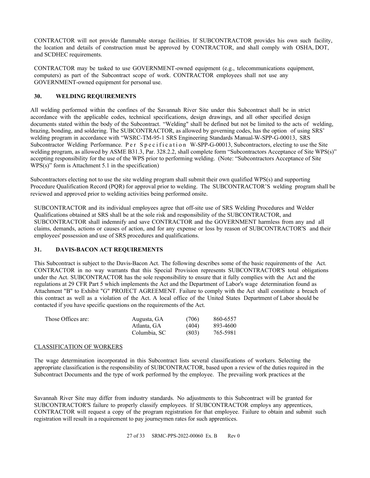CONTRACTOR will not provide flammable storage facilities. If SUBCONTRACTOR provides his own such facility, the location and details of construction must be approved by CONTRACTOR, and shall comply with OSHA, DOT, and SCDHEC requirements.

CONTRACTOR may be tasked to use GOVERNMENT-owned equipment (e.g., telecommunications equipment, computers) as part of the Subcontract scope of work. CONTRACTOR employees shall not use any GOVERNMENT-owned equipment for personal use.

# <span id="page-27-0"></span>**30. WELDING REQUIREMENTS**

All welding performed within the confines of the Savannah River Site under this Subcontract shall be in strict accordance with the applicable codes, technical specifications, design drawings, and all other specified design documents stated within the body of the Subcontract. "Welding" shall be defined but not be limited to the acts of welding, brazing, bonding, and soldering. The SUBCONTRACTOR, as allowed by governing codes, has the option of using SRS' welding program in accordance with "WSRC-TM-95-1 SRS Engineering Standards Manual-W-SPP-G-00013, SRS Subcontractor Welding Performance. Per Specification W-SPP-G-00013, Subcontractors, electing to use the Site welding program, as allowed by ASME B31.3, Par. 328.2.2, shall complete form "Subcontractors Acceptance of Site WPS(s)" accepting responsibility for the use of the WPS prior to performing welding. (Note: "Subcontractors Acceptance of Site  $WPS(s)$ " form is Attachment 5.1 in the specification)

Subcontractors electing not to use the site welding program shall submit their own qualified WPS(s) and supporting Procedure Qualification Record (PQR) for approval prior to welding. The SUBCONTRACTOR'S welding program shall be reviewed and approved prior to welding activities being performed onsite.

SUBCONTRACTOR and its individual employees agree that off-site use of SRS Welding Procedures and Welder Qualifications obtained at SRS shall be at the sole risk and responsibility of the SUBCONTRACTOR, and SUBCONTRACTOR shall indemnify and save CONTRACTOR and the GOVERNMENT harmless from any and all claims, demands, actions or causes of action, and for any expense or loss by reason of SUBCONTRACTOR'S and their employees' possession and use of SRS procedures and qualifications.

# <span id="page-27-1"></span>**31. DAVIS-BACON ACT REQUIREMENTS**

This Subcontract is subject to the Davis-Bacon Act. The following describes some of the basic requirements of the Act. CONTRACTOR in no way warrants that this Special Provision represents SUBCONTRACTOR'S total obligations under the Act. SUBCONTRACTOR has the sole responsibility to ensure that it fully complies with the Act and the regulations at 29 CFR Part 5 which implements the Act and the Department of Labor's wage determination found as Attachment "B" to Exhibit "G" PROJECT AGREEMENT. Failure to comply with the Act shall constitute a breach of this contract as well as a violation of the Act. A local office of the United States Department of Labor should be contacted if you have specific questions on the requirements of the Act.

| Those Offices are: | Augusta, GA  | (706) | 860-6557 |
|--------------------|--------------|-------|----------|
|                    | Atlanta, GA  | (404) | 893-4600 |
|                    | Columbia, SC | (803) | 765-5981 |

# CLASSIFICATION OF WORKERS

The wage determination incorporated in this Subcontract lists several classifications of workers. Selecting the appropriate classification is the responsibility of SUBCONTRACTOR, based upon a review of the duties required in the Subcontract Documents and the type of work performed by the employee. The prevailing work practices at the

Savannah River Site may differ from industry standards. No adjustments to this Subcontract will be granted for SUBCONTRACTOR'S failure to properly classify employees. If SUBCONTRACTOR employs any apprentices, CONTRACTOR will request a copy of the program registration for that employee. Failure to obtain and submit such registration will result in a requirement to pay journeymen rates for such apprentices.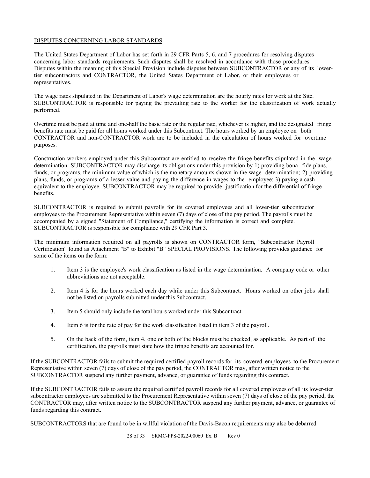#### DISPUTES CONCERNING LABOR STANDARDS

The United States Department of Labor has set forth in 29 CFR Parts 5, 6, and 7 procedures for resolving disputes concerning labor standards requirements. Such disputes shall be resolved in accordance with those procedures. Disputes within the meaning of this Special Provision include disputes between SUBCONTRACTOR or any of its lowertier subcontractors and CONTRACTOR, the United States Department of Labor, or their employees or representatives.

The wage rates stipulated in the Department of Labor's wage determination are the hourly rates for work at the Site. SUBCONTRACTOR is responsible for paying the prevailing rate to the worker for the classification of work actually performed.

Overtime must be paid at time and one-half the basic rate or the regular rate, whichever is higher, and the designated fringe benefits rate must be paid for all hours worked under this Subcontract. The hours worked by an employee on both CONTRACTOR and non-CONTRACTOR work are to be included in the calculation of hours worked for overtime purposes.

Construction workers employed under this Subcontract are entitled to receive the fringe benefits stipulated in the wage determination. SUBCONTRACTOR may discharge its obligations under this provision by 1) providing bona fide plans, funds, or programs, the minimum value of which is the monetary amounts shown in the wage determination; 2) providing plans, funds, or programs of a lesser value and paying the difference in wages to the employee; 3) paying a cash equivalent to the employee. SUBCONTRACTOR may be required to provide justification for the differential of fringe benefits.

SUBCONTRACTOR is required to submit payrolls for its covered employees and all lower-tier subcontractor employees to the Procurement Representative within seven (7) days of close of the pay period. The payrolls must be accompanied by a signed "Statement of Compliance," certifying the information is correct and complete. SUBCONTRACTOR is responsible for compliance with 29 CFR Part 3.

The minimum information required on all payrolls is shown on CONTRACTOR form, "Subcontractor Payroll Certification" found as Attachment "B" to Exhibit "B" SPECIAL PROVISIONS. The following provides guidance for some of the items on the form:

- 1. Item 3 is the employee's work classification as listed in the wage determination. A company code or other abbreviations are not acceptable.
- 2. Item 4 is for the hours worked each day while under this Subcontract. Hours worked on other jobs shall not be listed on payrolls submitted under this Subcontract.
- 3. Item 5 should only include the total hours worked under this Subcontract.
- 4. Item 6 is for the rate of pay for the work classification listed in item 3 of the payroll.
- 5. On the back of the form, item 4, one or both of the blocks must be checked, as applicable. As part of the certification, the payrolls must state how the fringe benefits are accounted for.

If the SUBCONTRACTOR fails to submit the required certified payroll records for its covered employees to the Procurement Representative within seven (7) days of close of the pay period, the CONTRACTOR may, after written notice to the SUBCONTRACTOR suspend any further payment, advance, or guarantee of funds regarding this contract.

If the SUBCONTRACTOR fails to assure the required certified payroll records for all covered employees of all its lower-tier subcontractor employees are submitted to the Procurement Representative within seven (7) days of close of the pay period, the CONTRACTOR may, after written notice to the SUBCONTRACTOR suspend any further payment, advance, or guarantee of funds regarding this contract.

SUBCONTRACTORS that are found to be in willful violation of the Davis-Bacon requirements may also be debarred –

28 of 33 SRMC-PPS-2022-00060 Ex. B Rev 0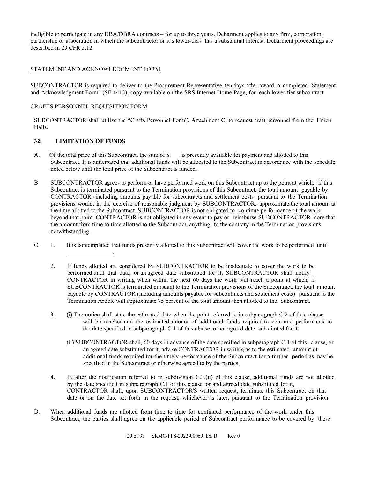ineligible to participate in any DBA/DBRA contracts – for up to three years. Debarment applies to any firm, corporation, partnership or association in which the subcontractor or it's lower-tiers has a substantial interest. Debarment proceedings are described in 29 CFR 5.12.

# STATEMENT AND ACKNOWLEDGMENT FORM

SUBCONTRACTOR is required to deliver to the Procurement Representative, ten days after award, a completed "Statement and Acknowledgment Form" (SF 1413), copy available on the SRS Internet Home Page, for each lower-tier subcontract

#### CRAFTS PERSONNEL REQUISITION FORM

.

SUBCONTRACTOR shall utilize the "Crafts Personnel Form", Attachment C, to request craft personnel from the Union Halls.

# <span id="page-29-0"></span>**32. LIMITATION OF FUNDS**

- A. Of the total price of this Subcontract, the sum of \$\_\_\_\_ is presently available for payment and allotted to this Subcontract. It is anticipated that additional funds will be allocated to the Subcontract in accordance with the schedule noted below until the total price of the Subcontract is funded.
- B SUBCONTRACTOR agrees to perform or have performed work on this Subcontract up to the point at which, if this Subcontract is terminated pursuant to the Termination provisions of this Subcontract, the total amount payable by CONTRACTOR (including amounts payable for subcontracts and settlement costs) pursuant to the Termination provisions would, in the exercise of reasonable judgment by SUBCONTRACTOR, approximate the total amount at the time allotted to the Subcontract. SUBCONTRACTOR is not obligated to continue performance of the work beyond that point. CONTRACTOR is not obligated in any event to pay or reimburse SUBCONTRACTOR more that the amount from time to time allotted to the Subcontract, anything to the contrary in the Termination provisions notwithstanding.
- C. 1. It is contemplated that funds presently allotted to this Subcontract will cover the work to be performed until
	- 2. If funds allotted are considered by SUBCONTRACTOR to be inadequate to cover the work to be performed until that date, or an agreed date substituted for it, SUBCONTRACTOR shall notify CONTRACTOR in writing when within the next 60 days the work will reach a point at which, if SUBCONTRACTOR is terminated pursuant to the Termination provisions of the Subcontract, the total amount payable by CONTRACTOR (including amounts payable for subcontracts and settlement costs) pursuant to the Termination Article will approximate 75 percent of the total amount then allotted to the Subcontract.
	- 3. (i) The notice shall state the estimated date when the point referred to in subparagraph C.2 of this clause will be reached and the estimated amount of additional funds required to continue performance to the date specified in subparagraph C.1 of this clause, or an agreed date substituted for it.
		- (ii) SUBCONTRACTOR shall, 60 days in advance of the date specified in subparagraph C.1 of this clause, or an agreed date substituted for it, advise CONTRACTOR in writing as to the estimated amount of additional funds required for the timely performance of the Subcontract for a further period as may be specified in the Subcontract or otherwise agreed to by the parties.
	- 4. If, after the notification referred to in subdivision C.3.(ii) of this clause, additional funds are not allotted by the date specified in subparagraph C.1 of this clause, or and agreed date substituted for it, CONTRACTOR shall, upon SUBCONTRACTOR'S written request, terminate this Subcontract on that date or on the date set forth in the request, whichever is later, pursuant to the Termination provision.
- D. When additional funds are allotted from time to time for continued performance of the work under this Subcontract, the parties shall agree on the applicable period of Subcontract performance to be covered by these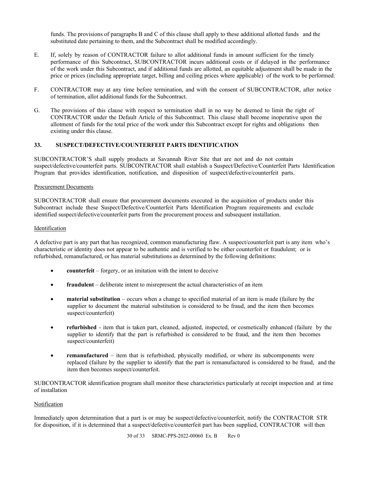funds. The provisions of paragraphs B and C of this clause shall apply to these additional allotted funds and the substituted date pertaining to them, and the Subcontract shall be modified accordingly.

- E. If, solely by reason of CONTRACTOR failure to allot additional funds in amount sufficient for the timely performance of this Subcontract, SUBCONTRACTOR incurs additional costs or if delayed in the performance of the work under this Subcontract, and if additional funds are allotted, an equitable adjustment shall be made in the price or prices (including appropriate target, billing and ceiling prices where applicable) of the work to be performed.
- F. CONTRACTOR may at any time before termination, and with the consent of SUBCONTRACTOR, after notice of termination, allot additional funds for the Subcontract.
- G. The provisions of this clause with respect to termination shall in no way be deemed to limit the right of CONTRACTOR under the Default Article of this Subcontract. This clause shall become inoperative upon the allotment of funds for the total price of the work under this Subcontract except for rights and obligations then existing under this clause.

#### <span id="page-30-0"></span>**33. SUSPECT/DEFECTIVE/COUNTERFEIT PARTS IDENTIFICATION**

SUBCONTRACTOR'S shall supply products at Savannah River Site that are not and do not contain suspect/defective/counterfeit parts. SUBCONTRACTOR shall establish a Suspect/Defective/Counterfeit Parts Identification Program that provides identification, notification, and disposition of suspect/defective/counterfeit parts.

#### Procurement Documents

SUBCONTRACTOR shall ensure that procurement documents executed in the acquisition of products under this Subcontract include these Suspect/Defective/Counterfeit Parts Identification Program requirements and exclude identified suspect/defective/counterfeit parts from the procurement process and subsequent installation.

#### Identification

A defective part is any part that has recognized, common manufacturing flaw. A suspect/counterfeit part is any item who's characteristic or identity does not appear to be authentic and is verified to be either counterfeit or fraudulent; or is refurbished, remanufactured, or has material substitutions as determined by the following definitions:

- **counterfeit** forgery, or an imitation with the intent to deceive
- **fraudulent**  deliberate intent to misrepresent the actual characteristics of an item
- **material substitution** occurs when a change to specified material of an item is made (failure by the supplier to document the material substitution is considered to be fraud, and the item then becomes suspect/counterfeit)
- **refurbished** item that is taken part, cleaned, adjusted, inspected, or cosmetically enhanced (failure by the supplier to identify that the part is refurbished is considered to be fraud, and the item then becomes suspect/counterfeit)
- **remanufactured** item that is refurbished, physically modified, or where its subcomponents were replaced (failure by the supplier to identify that the part is remanufactured is considered to be fraud, and the item then becomes suspect/counterfeit.

SUBCONTRACTOR identification program shall monitor these characteristics particularly at receipt inspection and at time of installation

#### Notification

Immediately upon determination that a part is or may be suspect/defective/counterfeit, notify the CONTRACTOR STR for disposition, if it is determined that a suspect/defective/counterfeit part has been supplied, CONTRACTOR will then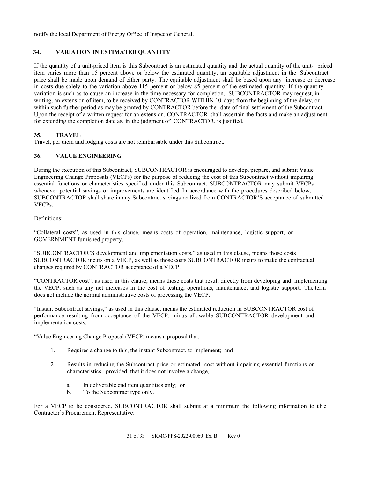notify the local Department of Energy Office of Inspector General.

# <span id="page-31-0"></span>**34. VARIATION IN ESTIMATED QUANTITY**

If the quantity of a unit-priced item is this Subcontract is an estimated quantity and the actual quantity of the unit- priced item varies more than 15 percent above or below the estimated quantity, an equitable adjustment in the Subcontract price shall be made upon demand of either party. The equitable adjustment shall be based upon any increase or decrease in costs due solely to the variation above 115 percent or below 85 percent of the estimated quantity. If the quantity variation is such as to cause an increase in the time necessary for completion, SUBCONTRACTOR may request, in writing, an extension of item, to be received by CONTRACTOR WITHIN 10 days from the beginning of the delay, or within such further period as may be granted by CONTRACTOR before the date of final settlement of the Subcontract. Upon the receipt of a written request for an extension, CONTRACTOR shall ascertain the facts and make an adjustment for extending the completion date as, in the judgment of CONTRACTOR, is justified.

# <span id="page-31-1"></span>**35. TRAVEL**

Travel, per diem and lodging costs are not reimbursable under this Subcontract.

# <span id="page-31-2"></span>**36. VALUE ENGINEERING**

During the execution of this Subcontract, SUBCONTRACTOR is encouraged to develop, prepare, and submit Value Engineering Change Proposals (VECPs) for the purpose of reducing the cost of this Subcontract without impairing essential functions or characteristics specified under this Subcontract. SUBCONTRACTOR may submit VECPs whenever potential savings or improvements are identified. In accordance with the procedures described below, SUBCONTRACTOR shall share in any Subcontract savings realized from CONTRACTOR'S acceptance of submitted VECPs.

#### Definitions:

"Collateral costs", as used in this clause, means costs of operation, maintenance, logistic support, or GOVERNMENT furnished property.

"SUBCONTRACTOR'S development and implementation costs," as used in this clause, means those costs SUBCONTRACTOR incurs on a VECP, as well as those costs SUBCONTRACTOR incurs to make the contractual changes required by CONTRACTOR acceptance of a VECP.

"CONTRACTOR cost", as used in this clause, means those costs that result directly from developing and implementing the VECP, such as any net increases in the cost of testing, operations, maintenance, and logistic support. The term does not include the normal administrative costs of processing the VECP.

"Instant Subcontract savings," as used in this clause, means the estimated reduction in SUBCONTRACTOR cost of performance resulting from acceptance of the VECP, minus allowable SUBCONTRACTOR development and implementation costs.

"Value Engineering Change Proposal (VECP) means a proposal that,

- 1. Requires a change to this, the instant Subcontract, to implement; and
- 2. Results in reducing the Subcontract price or estimated cost without impairing essential functions or characteristics; provided, that it does not involve a change,
	- a. In deliverable end item quantities only; or
	- b. To the Subcontract type only.

For a VECP to be considered, SUBCONTRACTOR shall submit at a minimum the following information to the Contractor's Procurement Representative: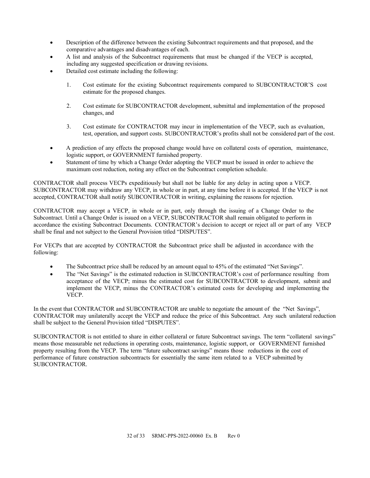- Description of the difference between the existing Subcontract requirements and that proposed, and the comparative advantages and disadvantages of each.
- A list and analysis of the Subcontract requirements that must be changed if the VECP is accepted, including any suggested specification or drawing revisions.
- Detailed cost estimate including the following:
	- 1. Cost estimate for the existing Subcontract requirements compared to SUBCONTRACTOR'S cost estimate for the proposed changes.
	- 2. Cost estimate for SUBCONTRACTOR development, submittal and implementation of the proposed changes, and
	- 3. Cost estimate for CONTRACTOR may incur in implementation of the VECP, such as evaluation, test, operation, and support costs. SUBCONTRACTOR's profits shall not be considered part of the cost.
- A prediction of any effects the proposed change would have on collateral costs of operation, maintenance, logistic support, or GOVERNMENT furnished property.
- Statement of time by which a Change Order adopting the VECP must be issued in order to achieve the maximum cost reduction, noting any effect on the Subcontract completion schedule.

CONTRACTOR shall process VECPs expeditiously but shall not be liable for any delay in acting upon a VECP. SUBCONTRACTOR may withdraw any VECP, in whole or in part, at any time before it is accepted. If the VECP is not accepted, CONTRACTOR shall notify SUBCONTRACTOR in writing, explaining the reasons for rejection.

CONTRACTOR may accept a VECP, in whole or in part, only through the issuing of a Change Order to the Subcontract. Until a Change Order is issued on a VECP, SUBCONTRACTOR shall remain obligated to perform in accordance the existing Subcontract Documents. CONTRACTOR's decision to accept or reject all or part of any VECP shall be final and not subject to the General Provision titled "DISPUTES".

For VECPs that are accepted by CONTRACTOR the Subcontract price shall be adjusted in accordance with the following:

- The Subcontract price shall be reduced by an amount equal to 45% of the estimated "Net Savings".
- The "Net Savings" is the estimated reduction in SUBCONTRACTOR's cost of performance resulting from acceptance of the VECP; minus the estimated cost for SUBCONTRACTOR to development, submit and implement the VECP, minus the CONTRACTOR's estimated costs for developing and implementing the VECP.

In the event that CONTRACTOR and SUBCONTRACTOR are unable to negotiate the amount of the "Net Savings", CONTRACTOR may unilaterally accept the VECP and reduce the price of this Subcontract. Any such unilateral reduction shall be subject to the General Provision titled "DISPUTES".

SUBCONTRACTOR is not entitled to share in either collateral or future Subcontract savings. The term "collateral savings" means those measurable net reductions in operating costs, maintenance, logistic support, or GOVERNMENT furnished property resulting from the VECP. The term "future subcontract savings" means those reductions in the cost of performance of future construction subcontracts for essentially the same item related to a VECP submitted by SUBCONTRACTOR.